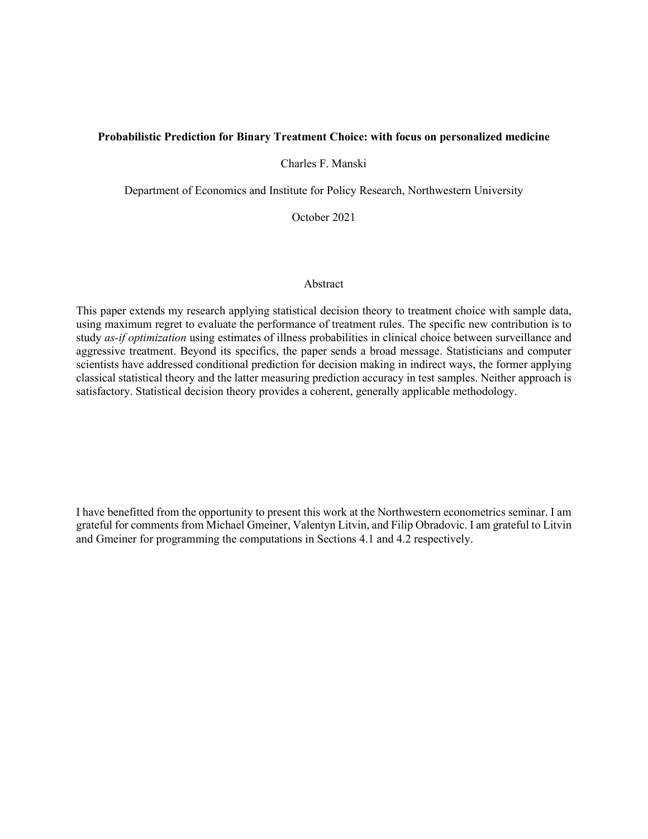# **Probabilistic Prediction for Binary Treatment Choice: with focus on personalized medicine**

Charles F. Manski

Department of Economics and Institute for Policy Research, Northwestern University

October 2021

#### Abstract

This paper extends my research applying statistical decision theory to treatment choice with sample data, using maximum regret to evaluate the performance of treatment rules. The specific new contribution is to study *as-if optimization* using estimates of illness probabilities in clinical choice between surveillance and aggressive treatment. Beyond its specifics, the paper sends a broad message. Statisticians and computer scientists have addressed conditional prediction for decision making in indirect ways, the former applying classical statistical theory and the latter measuring prediction accuracy in test samples. Neither approach is satisfactory. Statistical decision theory provides a coherent, generally applicable methodology.

I have benefitted from the opportunity to present this work at the Northwestern econometrics seminar. I am grateful for comments from Michael Gmeiner, Valentyn Litvin, and Filip Obradovic. I am grateful to Litvin and Gmeiner for programming the computations in Sections 4.1 and 4.2 respectively.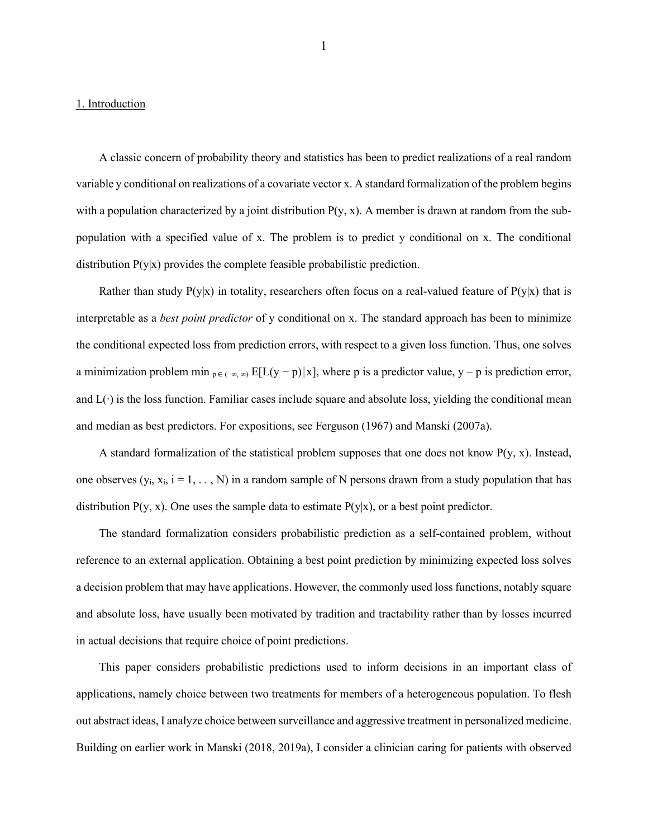#### 1. Introduction

A classic concern of probability theory and statistics has been to predict realizations of a real random variable y conditional on realizations of a covariate vector x. A standard formalization of the problem begins with a population characterized by a joint distribution  $P(y, x)$ . A member is drawn at random from the subpopulation with a specified value of x. The problem is to predict y conditional on x. The conditional distribution  $P(y|x)$  provides the complete feasible probabilistic prediction.

Rather than study  $P(y|x)$  in totality, researchers often focus on a real-valued feature of  $P(y|x)$  that is interpretable as a *best point predictor* of y conditional on x. The standard approach has been to minimize the conditional expected loss from prediction errors, with respect to a given loss function. Thus, one solves a minimization problem min  $p \in (-\infty, \infty)$  E[L(y − p)|x], where p is a predictor value, y − p is prediction error, and L(∙) is the loss function. Familiar cases include square and absolute loss, yielding the conditional mean and median as best predictors. For expositions, see Ferguson (1967) and Manski (2007a).

A standard formalization of the statistical problem supposes that one does not know  $P(y, x)$ . Instead, one observes  $(y_i, x_i, i = 1, ..., N)$  in a random sample of N persons drawn from a study population that has distribution  $P(y, x)$ . One uses the sample data to estimate  $P(y|x)$ , or a best point predictor.

The standard formalization considers probabilistic prediction as a self-contained problem, without reference to an external application. Obtaining a best point prediction by minimizing expected loss solves a decision problem that may have applications. However, the commonly used loss functions, notably square and absolute loss, have usually been motivated by tradition and tractability rather than by losses incurred in actual decisions that require choice of point predictions.

This paper considers probabilistic predictions used to inform decisions in an important class of applications, namely choice between two treatments for members of a heterogeneous population. To flesh out abstract ideas, I analyze choice between surveillance and aggressive treatment in personalized medicine. Building on earlier work in Manski (2018, 2019a), I consider a clinician caring for patients with observed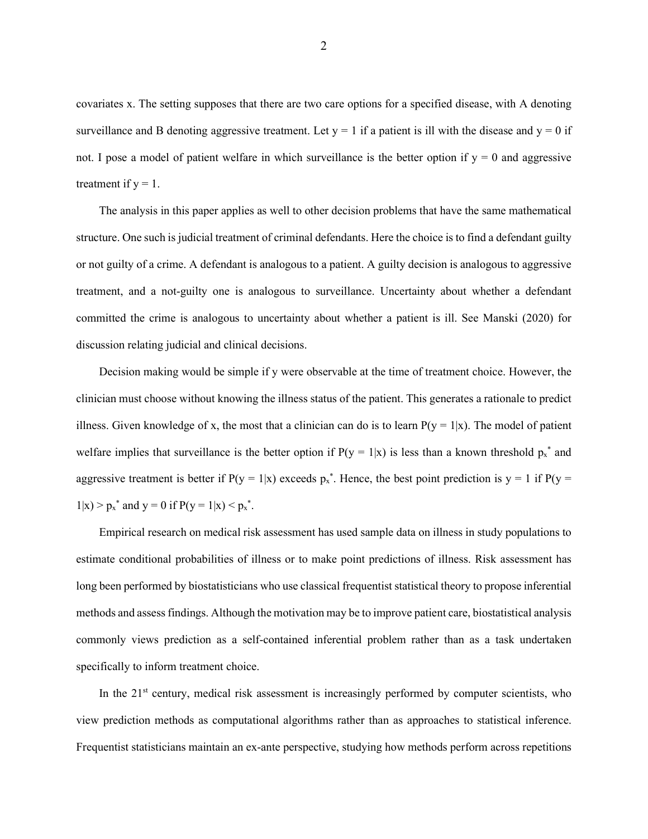covariates x. The setting supposes that there are two care options for a specified disease, with A denoting surveillance and B denoting aggressive treatment. Let  $y = 1$  if a patient is ill with the disease and  $y = 0$  if not. I pose a model of patient welfare in which surveillance is the better option if  $y = 0$  and aggressive treatment if  $y = 1$ .

The analysis in this paper applies as well to other decision problems that have the same mathematical structure. One such is judicial treatment of criminal defendants. Here the choice is to find a defendant guilty or not guilty of a crime. A defendant is analogous to a patient. A guilty decision is analogous to aggressive treatment, and a not-guilty one is analogous to surveillance. Uncertainty about whether a defendant committed the crime is analogous to uncertainty about whether a patient is ill. See Manski (2020) for discussion relating judicial and clinical decisions.

Decision making would be simple if y were observable at the time of treatment choice. However, the clinician must choose without knowing the illness status of the patient. This generates a rationale to predict illness. Given knowledge of x, the most that a clinician can do is to learn  $P(y = 1|x)$ . The model of patient welfare implies that surveillance is the better option if  $P(y = 1|x)$  is less than a known threshold  $p_x^*$  and aggressive treatment is better if  $P(y = 1|x)$  exceeds  $p_x^*$ . Hence, the best point prediction is  $y = 1$  if  $P(y = 1|x)$  $1|x| > p_x^*$  and  $y = 0$  if  $P(y = 1|x) < p_x^*$ .

Empirical research on medical risk assessment has used sample data on illness in study populations to estimate conditional probabilities of illness or to make point predictions of illness. Risk assessment has long been performed by biostatisticians who use classical frequentist statistical theory to propose inferential methods and assess findings. Although the motivation may be to improve patient care, biostatistical analysis commonly views prediction as a self-contained inferential problem rather than as a task undertaken specifically to inform treatment choice.

In the  $21<sup>st</sup>$  century, medical risk assessment is increasingly performed by computer scientists, who view prediction methods as computational algorithms rather than as approaches to statistical inference. Frequentist statisticians maintain an ex-ante perspective, studying how methods perform across repetitions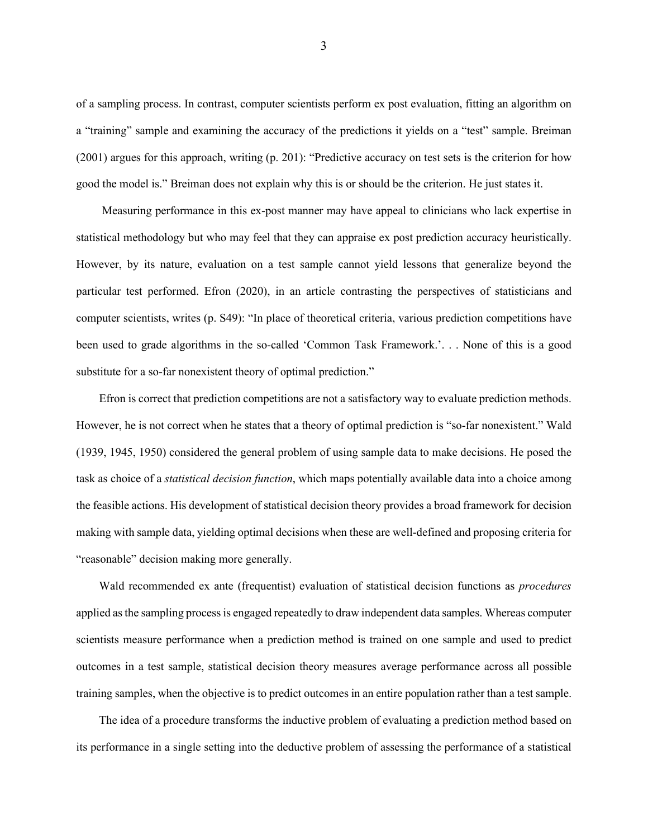of a sampling process. In contrast, computer scientists perform ex post evaluation, fitting an algorithm on a "training" sample and examining the accuracy of the predictions it yields on a "test" sample. Breiman (2001) argues for this approach, writing (p. 201): "Predictive accuracy on test sets is the criterion for how good the model is." Breiman does not explain why this is or should be the criterion. He just states it.

Measuring performance in this ex-post manner may have appeal to clinicians who lack expertise in statistical methodology but who may feel that they can appraise ex post prediction accuracy heuristically. However, by its nature, evaluation on a test sample cannot yield lessons that generalize beyond the particular test performed. Efron (2020), in an article contrasting the perspectives of statisticians and computer scientists, writes (p. S49): "In place of theoretical criteria, various prediction competitions have been used to grade algorithms in the so-called 'Common Task Framework.'. . . None of this is a good substitute for a so-far nonexistent theory of optimal prediction."

Efron is correct that prediction competitions are not a satisfactory way to evaluate prediction methods. However, he is not correct when he states that a theory of optimal prediction is "so-far nonexistent." Wald (1939, 1945, 1950) considered the general problem of using sample data to make decisions. He posed the task as choice of a *statistical decision function*, which maps potentially available data into a choice among the feasible actions. His development of statistical decision theory provides a broad framework for decision making with sample data, yielding optimal decisions when these are well-defined and proposing criteria for "reasonable" decision making more generally.

Wald recommended ex ante (frequentist) evaluation of statistical decision functions as *procedures* applied as the sampling process is engaged repeatedly to draw independent data samples. Whereas computer scientists measure performance when a prediction method is trained on one sample and used to predict outcomes in a test sample, statistical decision theory measures average performance across all possible training samples, when the objective is to predict outcomes in an entire population rather than a test sample.

The idea of a procedure transforms the inductive problem of evaluating a prediction method based on its performance in a single setting into the deductive problem of assessing the performance of a statistical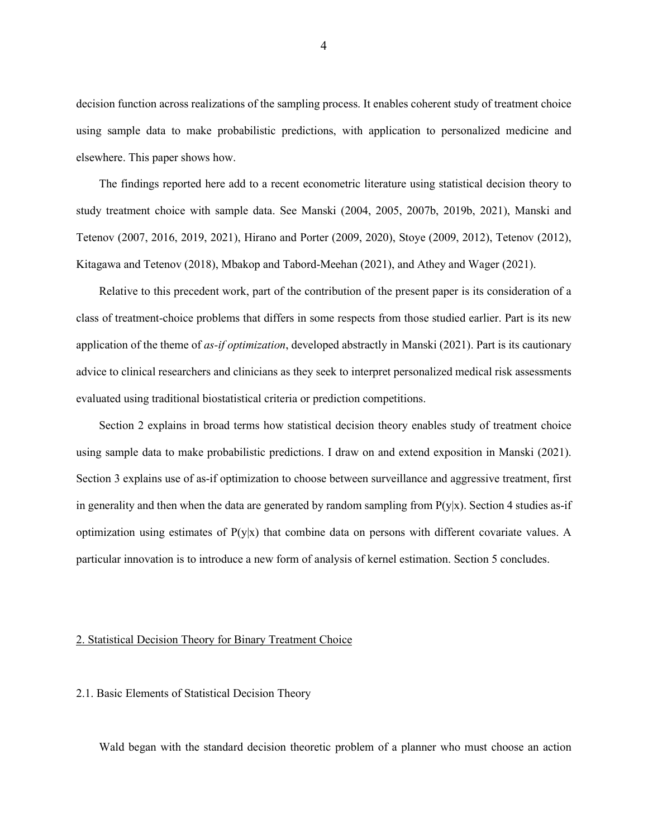decision function across realizations of the sampling process. It enables coherent study of treatment choice using sample data to make probabilistic predictions, with application to personalized medicine and elsewhere. This paper shows how.

The findings reported here add to a recent econometric literature using statistical decision theory to study treatment choice with sample data. See Manski (2004, 2005, 2007b, 2019b, 2021), Manski and Tetenov (2007, 2016, 2019, 2021), Hirano and Porter (2009, 2020), Stoye (2009, 2012), Tetenov (2012), Kitagawa and Tetenov (2018), Mbakop and Tabord-Meehan (2021), and Athey and Wager (2021).

Relative to this precedent work, part of the contribution of the present paper is its consideration of a class of treatment-choice problems that differs in some respects from those studied earlier. Part is its new application of the theme of *as-if optimization*, developed abstractly in Manski (2021). Part is its cautionary advice to clinical researchers and clinicians as they seek to interpret personalized medical risk assessments evaluated using traditional biostatistical criteria or prediction competitions.

Section 2 explains in broad terms how statistical decision theory enables study of treatment choice using sample data to make probabilistic predictions. I draw on and extend exposition in Manski (2021). Section 3 explains use of as-if optimization to choose between surveillance and aggressive treatment, first in generality and then when the data are generated by random sampling from  $P(y|x)$ . Section 4 studies as-if optimization using estimates of  $P(y|x)$  that combine data on persons with different covariate values. A particular innovation is to introduce a new form of analysis of kernel estimation. Section 5 concludes.

### 2. Statistical Decision Theory for Binary Treatment Choice

## 2.1. Basic Elements of Statistical Decision Theory

Wald began with the standard decision theoretic problem of a planner who must choose an action

4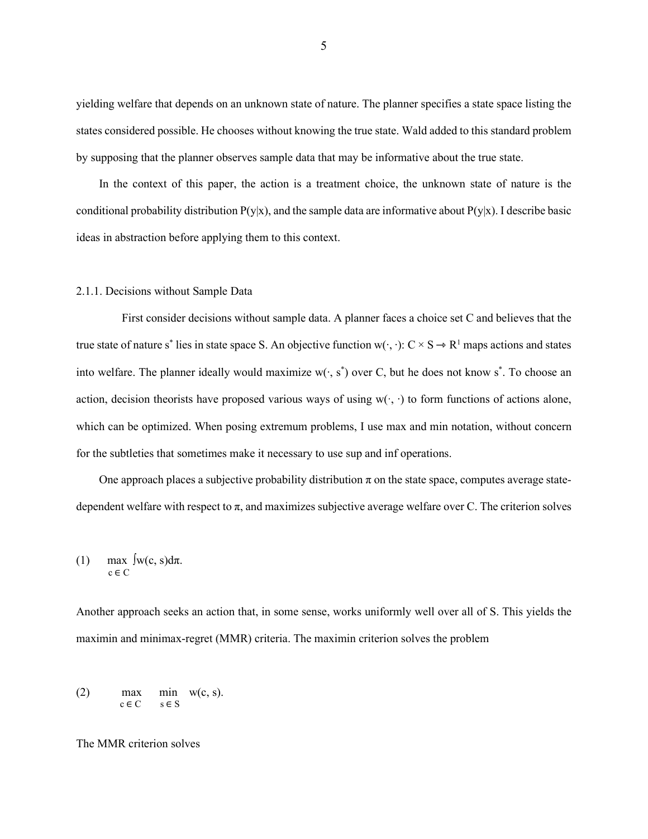yielding welfare that depends on an unknown state of nature. The planner specifies a state space listing the states considered possible. He chooses without knowing the true state. Wald added to this standard problem by supposing that the planner observes sample data that may be informative about the true state.

In the context of this paper, the action is a treatment choice, the unknown state of nature is the conditional probability distribution  $P(y|x)$ , and the sample data are informative about  $P(y|x)$ . I describe basic ideas in abstraction before applying them to this context.

#### 2.1.1. Decisions without Sample Data

First consider decisions without sample data. A planner faces a choice set C and believes that the true state of nature s<sup>\*</sup> lies in state space S. An objective function w( $\cdot$ ,  $\cdot$ ): C × S → R<sup>1</sup> maps actions and states into welfare. The planner ideally would maximize w(∙, s\* ) over C, but he does not know s\* . To choose an action, decision theorists have proposed various ways of using w( $\cdot$ ,  $\cdot$ ) to form functions of actions alone, which can be optimized. When posing extremum problems, I use max and min notation, without concern for the subtleties that sometimes make it necessary to use sup and inf operations.

One approach places a subjective probability distribution  $\pi$  on the state space, computes average statedependent welfare with respect to  $\pi$ , and maximizes subjective average welfare over C. The criterion solves

(1) 
$$
\max_{c \in C} \int w(c, s) d\pi.
$$

Another approach seeks an action that, in some sense, works uniformly well over all of S. This yields the maximin and minimax-regret (MMR) criteria. The maximin criterion solves the problem

(2) max min w(c, s).<br>  $c \in C$  s  $\in S$ 

The MMR criterion solves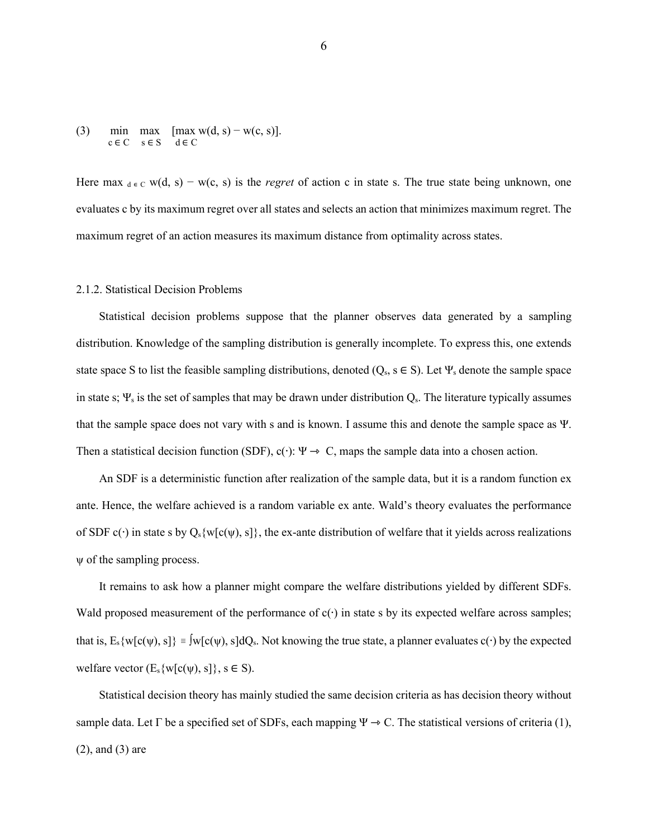(3) min max  $[\max_{c \in C} s \in S \text{ d} \in C$ 

Here max  $d \in C$  w(d, s) – w(c, s) is the *regret* of action c in state s. The true state being unknown, one evaluates c by its maximum regret over all states and selects an action that minimizes maximum regret. The maximum regret of an action measures its maximum distance from optimality across states.

#### 2.1.2. Statistical Decision Problems

Statistical decision problems suppose that the planner observes data generated by a sampling distribution. Knowledge of the sampling distribution is generally incomplete. To express this, one extends state space S to list the feasible sampling distributions, denoted ( $Q_s$ ,  $s \in S$ ). Let  $\Psi_s$  denote the sample space in state s;  $\Psi_s$  is the set of samples that may be drawn under distribution  $Q_s$ . The literature typically assumes that the sample space does not vary with s and is known. I assume this and denote the sample space as Ψ. Then a statistical decision function (SDF), c( $\cdot$ ):  $\Psi \rightarrow C$ , maps the sample data into a chosen action.

An SDF is a deterministic function after realization of the sample data, but it is a random function ex ante. Hence, the welfare achieved is a random variable ex ante. Wald's theory evaluates the performance of SDF c( $\cdot$ ) in state s by Q<sub>s</sub>{w[c( $\psi$ ), s]}, the ex-ante distribution of welfare that it yields across realizations ψ of the sampling process.

It remains to ask how a planner might compare the welfare distributions yielded by different SDFs. Wald proposed measurement of the performance of  $c(\cdot)$  in state s by its expected welfare across samples; that is,  $E_s\{w[c(\psi), s]\}\equiv \int w[c(\psi), s]dQ_s$ . Not knowing the true state, a planner evaluates  $c(\cdot)$  by the expected welfare vector  $(E_s\{w[c(\psi), s]\}, s \in S)$ .

Statistical decision theory has mainly studied the same decision criteria as has decision theory without sample data. Let  $\Gamma$  be a specified set of SDFs, each mapping  $\Psi \to C$ . The statistical versions of criteria (1), (2), and (3) are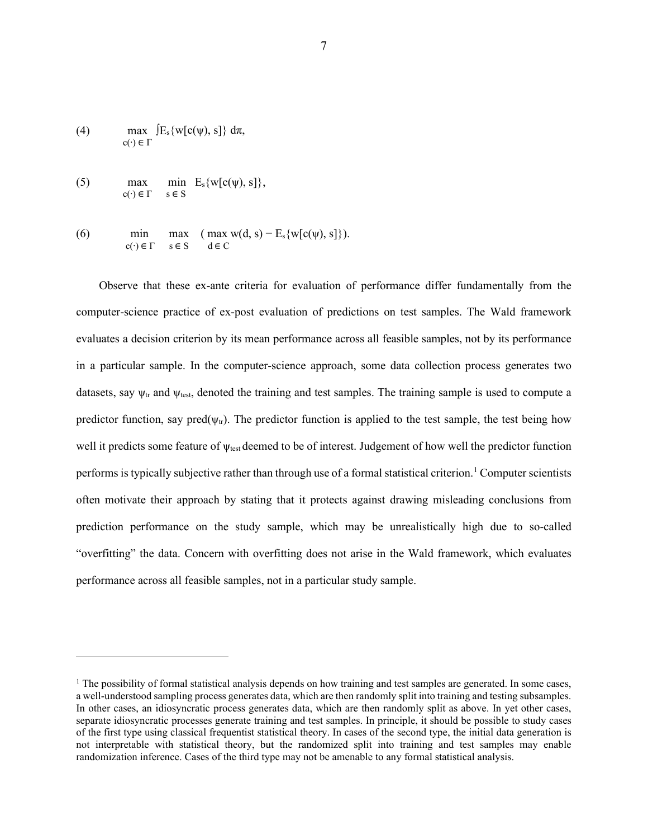(4) 
$$
\max_{c(\cdot) \in \Gamma} [E_s\{w[c(\psi), s]\} d\pi,
$$

(5) max min  $E_s\{w[c(\psi), s]\},\$ <br>  $c(\cdot) \in \Gamma$  s  $\in S$ 

(6) 
$$
\begin{array}{lll}\n\text{min} & \text{max} & (\text{max } w(d, s) - E_s \{w[c(\psi), s]\}). \\
\text{c}(\cdot) \in \Gamma & s \in S & d \in C\n\end{array}
$$

Observe that these ex-ante criteria for evaluation of performance differ fundamentally from the computer-science practice of ex-post evaluation of predictions on test samples. The Wald framework evaluates a decision criterion by its mean performance across all feasible samples, not by its performance in a particular sample. In the computer-science approach, some data collection process generates two datasets, say  $\psi_{tr}$  and  $\psi_{test}$ , denoted the training and test samples. The training sample is used to compute a predictor function, say pred( $\psi$ <sub>tr</sub>). The predictor function is applied to the test sample, the test being how well it predicts some feature of ψtest deemed to be of interest. Judgement of how well the predictor function performs is typically subjective rather than through use of a formal statistical criterion.[1](#page-7-0) Computer scientists often motivate their approach by stating that it protects against drawing misleading conclusions from prediction performance on the study sample, which may be unrealistically high due to so-called "overfitting" the data. Concern with overfitting does not arise in the Wald framework, which evaluates performance across all feasible samples, not in a particular study sample.

<span id="page-7-0"></span> $<sup>1</sup>$  The possibility of formal statistical analysis depends on how training and test samples are generated. In some cases,</sup> a well-understood sampling process generates data, which are then randomly split into training and testing subsamples. In other cases, an idiosyncratic process generates data, which are then randomly split as above. In yet other cases, separate idiosyncratic processes generate training and test samples. In principle, it should be possible to study cases of the first type using classical frequentist statistical theory. In cases of the second type, the initial data generation is not interpretable with statistical theory, but the randomized split into training and test samples may enable randomization inference. Cases of the third type may not be amenable to any formal statistical analysis.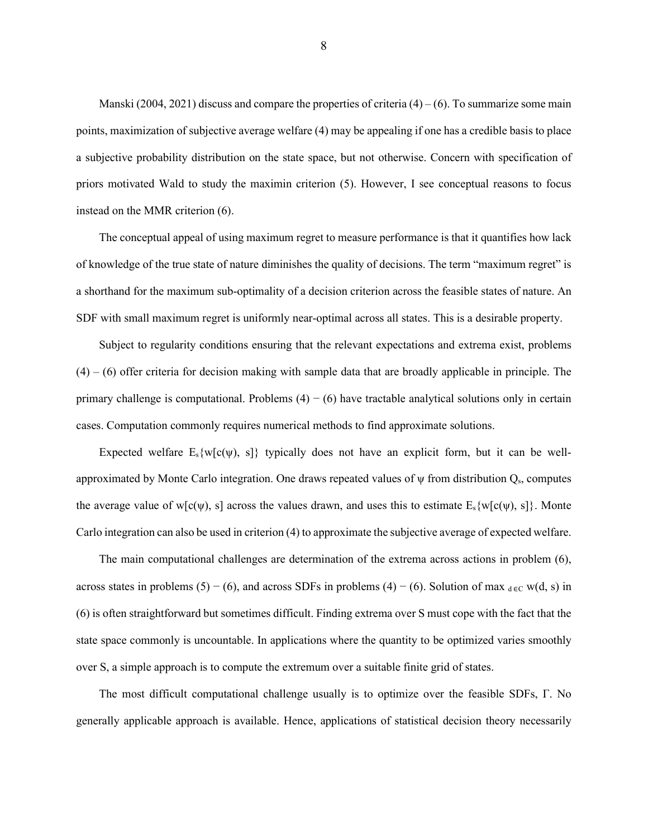Manski (2004, 2021) discuss and compare the properties of criteria  $(4) - (6)$ . To summarize some main points, maximization of subjective average welfare (4) may be appealing if one has a credible basis to place a subjective probability distribution on the state space, but not otherwise. Concern with specification of priors motivated Wald to study the maximin criterion (5). However, I see conceptual reasons to focus instead on the MMR criterion (6).

The conceptual appeal of using maximum regret to measure performance is that it quantifies how lack of knowledge of the true state of nature diminishes the quality of decisions. The term "maximum regret" is a shorthand for the maximum sub-optimality of a decision criterion across the feasible states of nature. An SDF with small maximum regret is uniformly near-optimal across all states. This is a desirable property.

Subject to regularity conditions ensuring that the relevant expectations and extrema exist, problems  $(4)$  – (6) offer criteria for decision making with sample data that are broadly applicable in principle. The primary challenge is computational. Problems  $(4) - (6)$  have tractable analytical solutions only in certain cases. Computation commonly requires numerical methods to find approximate solutions.

Expected welfare  $E_s\{w[c(y), s]\}$  typically does not have an explicit form, but it can be wellapproximated by Monte Carlo integration. One draws repeated values of  $\psi$  from distribution  $Q_s$ , computes the average value of w[c( $\psi$ ), s] across the values drawn, and uses this to estimate  $E_s\{w[c(\psi), s]\}$ . Monte Carlo integration can also be used in criterion (4) to approximate the subjective average of expected welfare.

The main computational challenges are determination of the extrema across actions in problem (6), across states in problems (5) – (6), and across SDFs in problems (4) – (6). Solution of max  $_{\text{d}\in\text{C}}$  w(d, s) in (6) is often straightforward but sometimes difficult. Finding extrema over S must cope with the fact that the state space commonly is uncountable. In applications where the quantity to be optimized varies smoothly over S, a simple approach is to compute the extremum over a suitable finite grid of states.

The most difficult computational challenge usually is to optimize over the feasible SDFs, Γ. No generally applicable approach is available. Hence, applications of statistical decision theory necessarily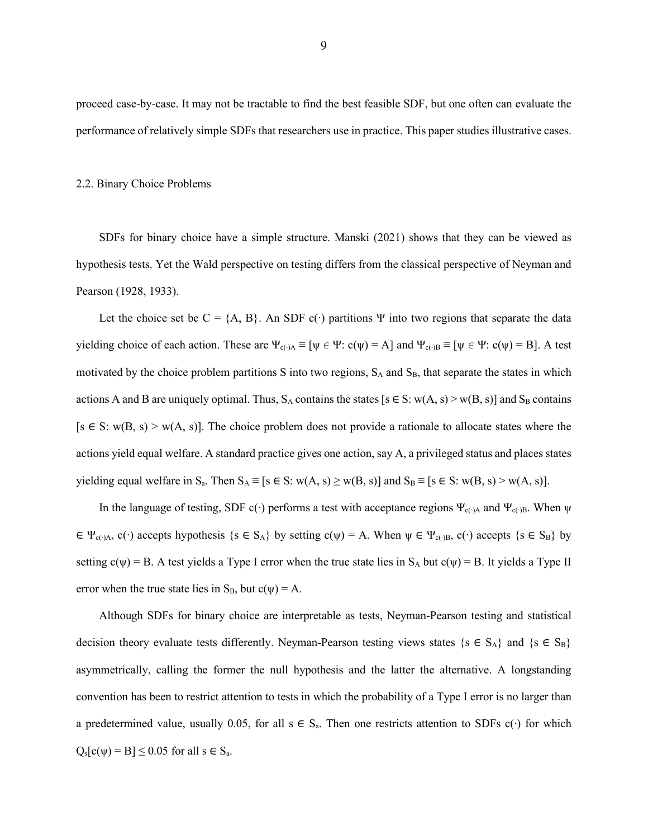proceed case-by-case. It may not be tractable to find the best feasible SDF, but one often can evaluate the performance of relatively simple SDFs that researchers use in practice. This paper studies illustrative cases.

#### 2.2. Binary Choice Problems

SDFs for binary choice have a simple structure. Manski (2021) shows that they can be viewed as hypothesis tests. Yet the Wald perspective on testing differs from the classical perspective of Neyman and Pearson (1928, 1933).

Let the choice set be  $C = \{A, B\}$ . An SDF c(⋅) partitions  $\Psi$  into two regions that separate the data yielding choice of each action. These are  $\Psi_{c(\cdot)A} \equiv [\psi \in \Psi : c(\psi) = A]$  and  $\Psi_{c(\cdot)B} \equiv [\psi \in \Psi : c(\psi) = B]$ . A test motivated by the choice problem partitions S into two regions, S<sub>A</sub> and S<sub>B</sub>, that separate the states in which actions A and B are uniquely optimal. Thus,  $S_A$  contains the states [s  $\in$  S: w(A, s) > w(B, s)] and  $S_B$  contains  $[s \in S: w(B, s) > w(A, s)]$ . The choice problem does not provide a rationale to allocate states where the actions yield equal welfare. A standard practice gives one action, say A, a privileged status and places states yielding equal welfare in S<sub>a</sub>. Then  $S_A \equiv [s \in S: w(A, s) \ge w(B, s)]$  and  $S_B \equiv [s \in S: w(B, s) \ge w(A, s)]$ .

In the language of testing, SDF c(⋅) performs a test with acceptance regions  $\Psi_{c(·)A}$  and  $\Psi_{c(·)B}$ . When  $\psi$  $\in \Psi_{c(\cdot)A}$ ,  $c(\cdot)$  accepts hypothesis {s  $\in S_A$ } by setting  $c(\psi) = A$ . When  $\psi \in \Psi_{c(\cdot)B}$ ,  $c(\cdot)$  accepts {s  $\in S_B$ } by setting  $c(\psi) = B$ . A test yields a Type I error when the true state lies in  $S_A$  but  $c(\psi) = B$ . It yields a Type II error when the true state lies in  $S_B$ , but  $c(\psi) = A$ .

Although SDFs for binary choice are interpretable as tests, Neyman-Pearson testing and statistical decision theory evaluate tests differently. Neyman-Pearson testing views states  $\{s \in S_A\}$  and  $\{s \in S_B\}$ asymmetrically, calling the former the null hypothesis and the latter the alternative. A longstanding convention has been to restrict attention to tests in which the probability of a Type I error is no larger than a predetermined value, usually 0.05, for all s  $\in S_a$ . Then one restricts attention to SDFs c(⋅) for which  $Q_s[c(\psi) = B] \leq 0.05$  for all  $s \in S_a$ .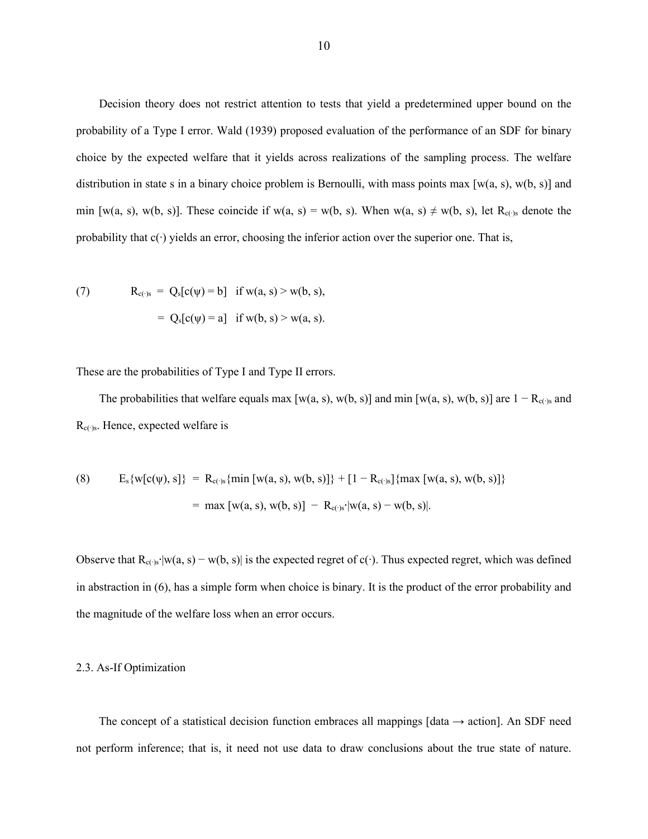Decision theory does not restrict attention to tests that yield a predetermined upper bound on the probability of a Type I error. Wald (1939) proposed evaluation of the performance of an SDF for binary choice by the expected welfare that it yields across realizations of the sampling process. The welfare distribution in state s in a binary choice problem is Bernoulli, with mass points max  $[w(a, s), w(b, s)]$  and min [w(a, s), w(b, s)]. These coincide if w(a, s) = w(b, s). When w(a, s)  $\neq$  w(b, s), let R<sub>c(</sub>⋅)s denote the probability that c(∙) yields an error, choosing the inferior action over the superior one. That is,

(7) 
$$
R_{c(y)} = Q_s[c(\psi) = b] \text{ if } w(a, s) > w(b, s),
$$

$$
= Q_s[c(\psi) = a] \text{ if } w(b, s) > w(a, s).
$$

These are the probabilities of Type I and Type II errors.

The probabilities that welfare equals max [w(a, s), w(b, s)] and min [w(a, s), w(b, s)] are  $1 - R_{c(y)}$  and Rc(∙)s. Hence, expected welfare is

(8) 
$$
E_s\{w[c(\psi), s]\} = R_{c(\cdot)s}\{\min[w(a, s), w(b, s)]\} + [1 - R_{c(\cdot)s}]\{\max[w(a, s), w(b, s)]\}
$$

$$
= \max[w(a, s), w(b, s)] - R_{c(\cdot)s'}[w(a, s) - w(b, s)].
$$

Observe that  $R_{c(·)s'}|w(a, s) - w(b, s)|$  is the expected regret of c(⋅). Thus expected regret, which was defined in abstraction in (6), has a simple form when choice is binary. It is the product of the error probability and the magnitude of the welfare loss when an error occurs.

#### 2.3. As-If Optimization

The concept of a statistical decision function embraces all mappings [data  $\rightarrow$  action]. An SDF need not perform inference; that is, it need not use data to draw conclusions about the true state of nature.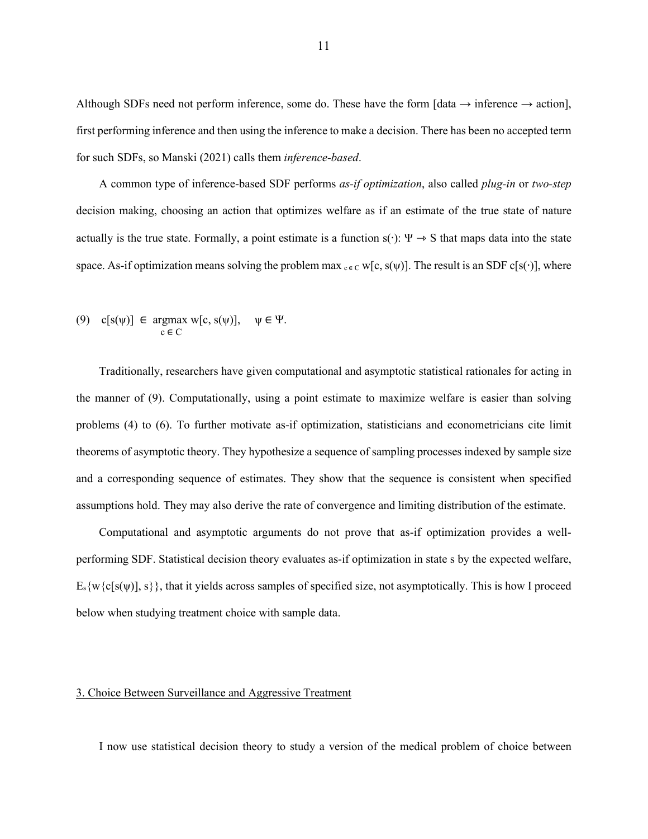Although SDFs need not perform inference, some do. These have the form  $\lceil \text{data} \rightarrow \text{inference} \rightarrow \text{action} \rceil$ , first performing inference and then using the inference to make a decision. There has been no accepted term for such SDFs, so Manski (2021) calls them *inference-based*.

A common type of inference-based SDF performs *as-if optimization*, also called *plug-in* or *two-step* decision making, choosing an action that optimizes welfare as if an estimate of the true state of nature actually is the true state. Formally, a point estimate is a function s( $\cdot$ ):  $\Psi \rightarrow S$  that maps data into the state space. As-if optimization means solving the problem max  $c \in C$  w[c, s( $\psi$ )]. The result is an SDF c[s( $\cdot$ )], where

(9) 
$$
c[s(\psi)] \in \operatorname*{argmax}_{c \in C} w[c, s(\psi)], \quad \psi \in \Psi.
$$

Traditionally, researchers have given computational and asymptotic statistical rationales for acting in the manner of (9). Computationally, using a point estimate to maximize welfare is easier than solving problems (4) to (6). To further motivate as-if optimization, statisticians and econometricians cite limit theorems of asymptotic theory. They hypothesize a sequence of sampling processes indexed by sample size and a corresponding sequence of estimates. They show that the sequence is consistent when specified assumptions hold. They may also derive the rate of convergence and limiting distribution of the estimate.

Computational and asymptotic arguments do not prove that as-if optimization provides a wellperforming SDF. Statistical decision theory evaluates as-if optimization in state s by the expected welfare,  $E_s\{w\{c[s(w)], s\}\}\)$ , that it yields across samples of specified size, not asymptotically. This is how I proceed below when studying treatment choice with sample data.

## 3. Choice Between Surveillance and Aggressive Treatment

I now use statistical decision theory to study a version of the medical problem of choice between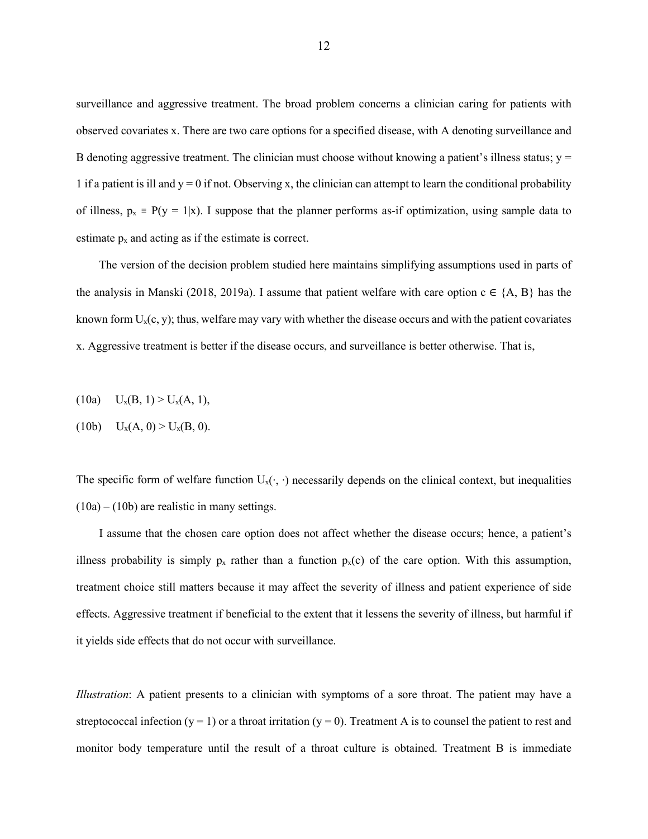surveillance and aggressive treatment. The broad problem concerns a clinician caring for patients with observed covariates x. There are two care options for a specified disease, with A denoting surveillance and B denoting aggressive treatment. The clinician must choose without knowing a patient's illness status;  $y =$ 1 if a patient is ill and  $y = 0$  if not. Observing x, the clinician can attempt to learn the conditional probability of illness,  $p_x = P(y = 1|x)$ . I suppose that the planner performs as-if optimization, using sample data to estimate  $p_x$  and acting as if the estimate is correct.

The version of the decision problem studied here maintains simplifying assumptions used in parts of the analysis in Manski (2018, 2019a). I assume that patient welfare with care option  $c \in \{A, B\}$  has the known form  $U_x(c, y)$ ; thus, welfare may vary with whether the disease occurs and with the patient covariates x. Aggressive treatment is better if the disease occurs, and surveillance is better otherwise. That is,

(10a)  $U_x(B, 1) > U_x(A, 1),$ 

(10b) 
$$
U_x(A, 0) > U_x(B, 0)
$$
.

The specific form of welfare function  $U_x(\cdot, \cdot)$  necessarily depends on the clinical context, but inequalities  $(10a) - (10b)$  are realistic in many settings.

I assume that the chosen care option does not affect whether the disease occurs; hence, a patient's illness probability is simply  $p_x$  rather than a function  $p_x(c)$  of the care option. With this assumption, treatment choice still matters because it may affect the severity of illness and patient experience of side effects. Aggressive treatment if beneficial to the extent that it lessens the severity of illness, but harmful if it yields side effects that do not occur with surveillance.

*Illustration*: A patient presents to a clinician with symptoms of a sore throat. The patient may have a streptococcal infection (y = 1) or a throat irritation (y = 0). Treatment A is to counsel the patient to rest and monitor body temperature until the result of a throat culture is obtained. Treatment B is immediate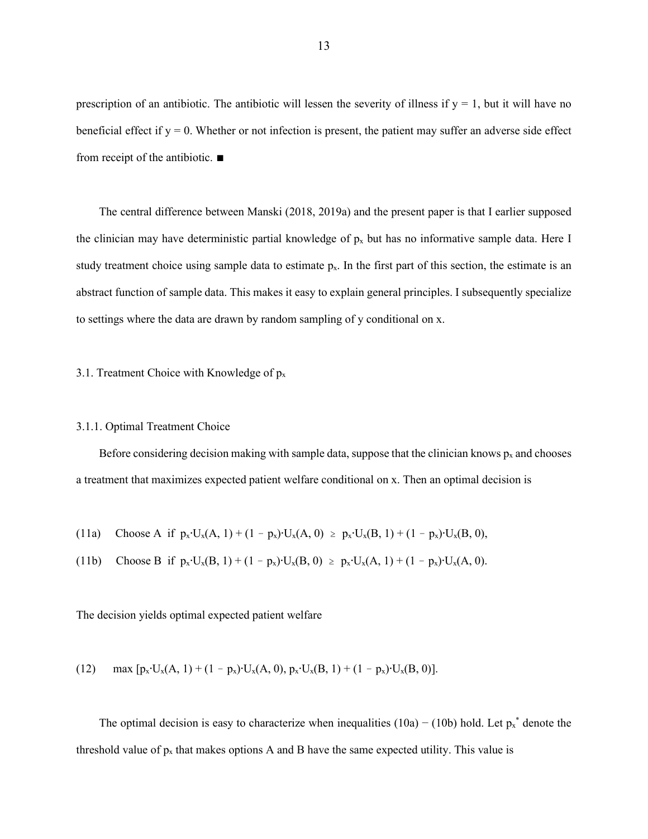prescription of an antibiotic. The antibiotic will lessen the severity of illness if  $y = 1$ , but it will have no beneficial effect if  $y = 0$ . Whether or not infection is present, the patient may suffer an adverse side effect from receipt of the antibiotic. ∎

The central difference between Manski (2018, 2019a) and the present paper is that I earlier supposed the clinician may have deterministic partial knowledge of  $p_x$  but has no informative sample data. Here I study treatment choice using sample data to estimate  $p_x$ . In the first part of this section, the estimate is an abstract function of sample data. This makes it easy to explain general principles. I subsequently specialize to settings where the data are drawn by random sampling of y conditional on x.

3.1. Treatment Choice with Knowledge of  $p_x$ 

## 3.1.1. Optimal Treatment Choice

Before considering decision making with sample data, suppose that the clinician knows  $p_x$  and chooses a treatment that maximizes expected patient welfare conditional on x. Then an optimal decision is

(11a) Choose A if 
$$
p_x \cdot U_x(A, 1) + (1 - p_x) \cdot U_x(A, 0) \ge p_x \cdot U_x(B, 1) + (1 - p_x) \cdot U_x(B, 0)
$$
,

(11b) Choose B if 
$$
p_x \cdot U_x(B, 1) + (1 - p_x) \cdot U_x(B, 0) \ge p_x \cdot U_x(A, 1) + (1 - p_x) \cdot U_x(A, 0)
$$
.

The decision yields optimal expected patient welfare

(12) 
$$
\max [p_x \cdot U_x(A, 1) + (1 - p_x) \cdot U_x(A, 0), p_x \cdot U_x(B, 1) + (1 - p_x) \cdot U_x(B, 0)].
$$

The optimal decision is easy to characterize when inequalities  $(10a) - (10b)$  hold. Let  $p_x^*$  denote the threshold value of  $p_x$  that makes options A and B have the same expected utility. This value is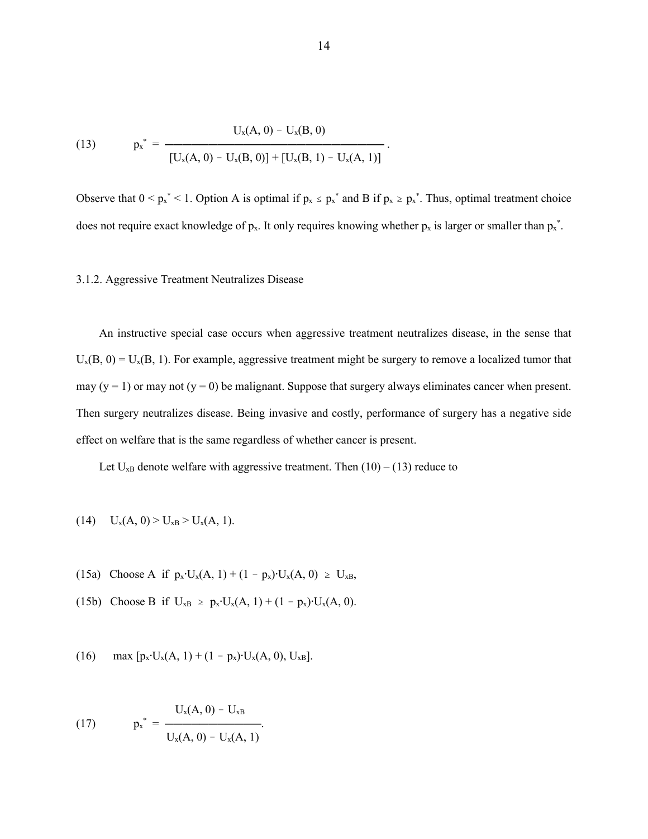(13) 
$$
p_x^* = \frac{U_x(A, 0) - U_x(B, 0)}{[U_x(A, 0) - U_x(B, 0)] + [U_x(B, 1) - U_x(A, 1)]}.
$$

Observe that  $0 \le p_x^* \le 1$ . Option A is optimal if  $p_x \le p_x^*$  and B if  $p_x \ge p_x^*$ . Thus, optimal treatment choice does not require exact knowledge of  $p_x$ . It only requires knowing whether  $p_x$  is larger or smaller than  $p_x^*$ .

## 3.1.2. Aggressive Treatment Neutralizes Disease

An instructive special case occurs when aggressive treatment neutralizes disease, in the sense that  $U_x(B, 0) = U_x(B, 1)$ . For example, aggressive treatment might be surgery to remove a localized tumor that may (y = 1) or may not (y = 0) be malignant. Suppose that surgery always eliminates cancer when present. Then surgery neutralizes disease. Being invasive and costly, performance of surgery has a negative side effect on welfare that is the same regardless of whether cancer is present.

Let  $U_{xB}$  denote welfare with aggressive treatment. Then  $(10) - (13)$  reduce to

(14) 
$$
U_x(A, 0) > U_{xB} > U_x(A, 1)
$$
.

- (15a) Choose A if  $p_x \cdot U_x(A, 1) + (1 p_x) \cdot U_x(A, 0) \ge U_{xB}$ ,
- (15b) Choose B if  $U_{xB} \ge p_x \cdot U_x(A, 1) + (1 p_x) \cdot U_x(A, 0)$ .
- (16) max  $[p_x \cdot U_x(A, 1) + (1 p_x) \cdot U_x(A, 0), U_{xB}]$ .

(17) 
$$
p_x^* = \frac{U_x(A, 0) - U_{xB}}{U_x(A, 0) - U_x(A, 1)}.
$$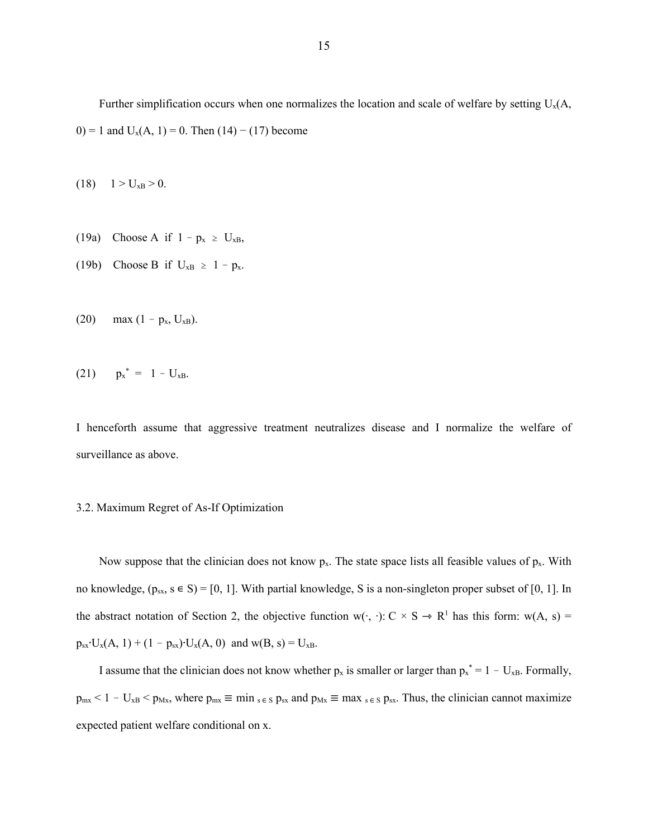Further simplification occurs when one normalizes the location and scale of welfare by setting  $U_x(A, \cdot)$ 0) = 1 and  $U_x(A, 1) = 0$ . Then (14) – (17) become

(18)  $1 > U_{xB} > 0$ .

- (19a) Choose A if  $1 p_x \ge U_{xB}$ ,
- (19b) Choose B if  $U_{xB} \ge 1 p_x$ .
- (20) max  $(1 p_x, U_{xB})$ .

(21) 
$$
p_x^* = 1 - U_{xB}
$$
.

I henceforth assume that aggressive treatment neutralizes disease and I normalize the welfare of surveillance as above.

### 3.2. Maximum Regret of As-If Optimization

Now suppose that the clinician does not know  $p_x$ . The state space lists all feasible values of  $p_x$ . With no knowledge,  $(p_{sx}, s \in S) = [0, 1]$ . With partial knowledge, S is a non-singleton proper subset of [0, 1]. In the abstract notation of Section 2, the objective function w( $\cdot$ ,  $\cdot$ ): C × S → R<sup>1</sup> has this form: w(A, s) =  $p_{sx} \cdot U_x(A, 1) + (1 - p_{sx}) \cdot U_x(A, 0)$  and  $w(B, s) = U_{xB}$ .

I assume that the clinician does not know whether  $p_x$  is smaller or larger than  $p_x^* = 1 - U_{xB}$ . Formally,  $p_{mx} < 1 - U_{xB} < p_{Mx}$ , where  $p_{mx} \equiv \min_{s \in S} p_{sx}$  and  $p_{Mx} \equiv \max_{s \in S} p_{sx}$ . Thus, the clinician cannot maximize expected patient welfare conditional on x.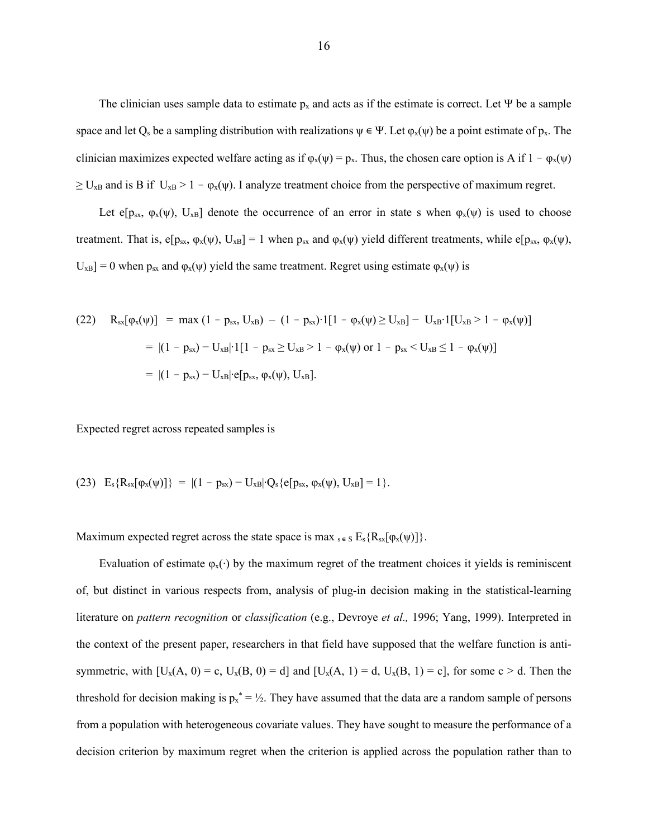The clinician uses sample data to estimate  $p_x$  and acts as if the estimate is correct. Let  $\Psi$  be a sample space and let  $Q_s$  be a sampling distribution with realizations  $\psi \in \Psi$ . Let  $\varphi_x(\psi)$  be a point estimate of  $p_x$ . The clinician maximizes expected welfare acting as if  $\varphi_x(\psi) = p_x$ . Thus, the chosen care option is A if  $1 - \varphi_x(\psi)$  $\geq U_{xB}$  and is B if  $U_{xB} > 1 - \varphi_x(\psi)$ . I analyze treatment choice from the perspective of maximum regret.

Let e[ $p_{sx}$ ,  $\varphi_x(\psi)$ ,  $U_{xB}$ ] denote the occurrence of an error in state s when  $\varphi_x(\psi)$  is used to choose treatment. That is,  $e[p_{sx}, \varphi_x(\psi), U_{xB}] = 1$  when  $p_{sx}$  and  $\varphi_x(\psi)$  yield different treatments, while  $e[p_{sx}, \varphi_x(\psi),$  $U_{xB}$ ] = 0 when  $p_{sx}$  and  $\varphi_x(\psi)$  yield the same treatment. Regret using estimate  $\varphi_x(\psi)$  is

(22) 
$$
R_{sx}[\varphi_x(\psi)] = \max (1 - p_{sx}, U_{xB}) - (1 - p_{sx}) \cdot 1[1 - \varphi_x(\psi) \ge U_{xB}] - U_{xB} \cdot 1[U_{xB} > 1 - \varphi_x(\psi)]
$$
  
\n
$$
= |(1 - p_{sx}) - U_{xB}| \cdot 1[1 - p_{sx} \ge U_{xB} > 1 - \varphi_x(\psi) \text{ or } 1 - p_{sx} < U_{xB} \le 1 - \varphi_x(\psi)]
$$
  
\n
$$
= |(1 - p_{sx}) - U_{xB}| \cdot e[p_{sx}, \varphi_x(\psi), U_{xB}].
$$

Expected regret across repeated samples is

(23) 
$$
E_s\{R_{sx}[\varphi_x(\psi)]\} = |(1 - p_{sx}) - U_{xB}| \cdot Q_s\{e[p_{sx}, \varphi_x(\psi), U_{xB}] = 1\}.
$$

Maximum expected regret across the state space is max  $s \in S$   $E_s$  { $R_{sx}[\varphi_x(\psi)]$  }.

Evaluation of estimate  $\varphi_x(\cdot)$  by the maximum regret of the treatment choices it yields is reminiscent of, but distinct in various respects from, analysis of plug-in decision making in the statistical-learning literature on *pattern recognition* or *classification* (e.g., Devroye *et al.,* 1996; Yang, 1999). Interpreted in the context of the present paper, researchers in that field have supposed that the welfare function is antisymmetric, with  $[U_x(A, 0) = c, U_x(B, 0) = d]$  and  $[U_x(A, 1) = d, U_x(B, 1) = c]$ , for some  $c > d$ . Then the threshold for decision making is  $p_x^* = \frac{1}{2}$ . They have assumed that the data are a random sample of persons from a population with heterogeneous covariate values. They have sought to measure the performance of a decision criterion by maximum regret when the criterion is applied across the population rather than to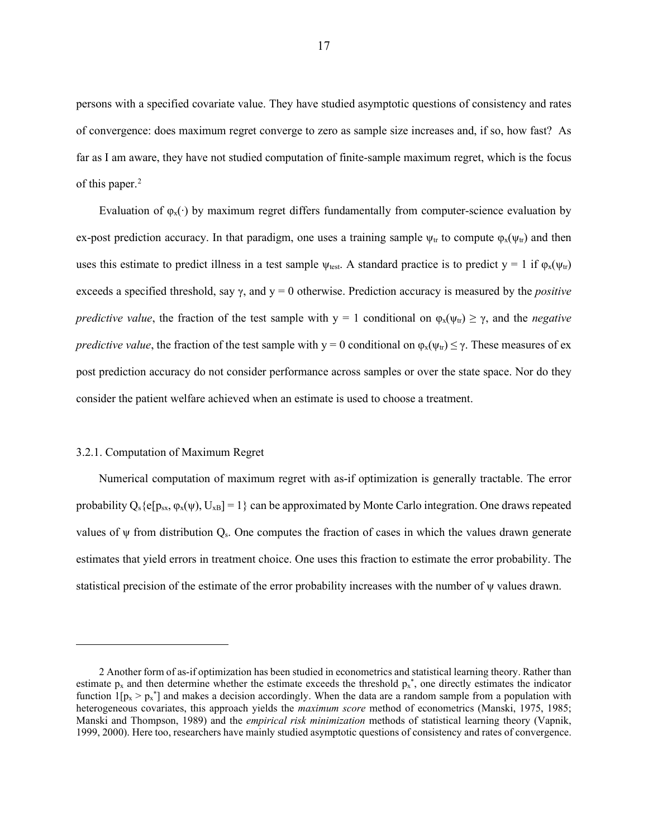persons with a specified covariate value. They have studied asymptotic questions of consistency and rates of convergence: does maximum regret converge to zero as sample size increases and, if so, how fast? As far as I am aware, they have not studied computation of finite-sample maximum regret, which is the focus of this paper.<sup>[2](#page-17-0)</sup>

Evaluation of  $\varphi_x(\cdot)$  by maximum regret differs fundamentally from computer-science evaluation by ex-post prediction accuracy. In that paradigm, one uses a training sample  $\psi_{tr}$  to compute  $\phi_x(\psi_{tr})$  and then uses this estimate to predict illness in a test sample  $\psi_{\text{test}}$ . A standard practice is to predict  $y = 1$  if  $\varphi_x(\psi_{\text{tr}})$ exceeds a specified threshold, say γ, and y = 0 otherwise. Prediction accuracy is measured by the *positive predictive value*, the fraction of the test sample with  $y = 1$  conditional on  $\varphi_x(\psi_{tr}) \ge \gamma$ , and the *negative predictive value*, the fraction of the test sample with  $y = 0$  conditional on  $\varphi_x(\psi_x) \leq \gamma$ . These measures of ex post prediction accuracy do not consider performance across samples or over the state space. Nor do they consider the patient welfare achieved when an estimate is used to choose a treatment.

#### 3.2.1. Computation of Maximum Regret

Numerical computation of maximum regret with as-if optimization is generally tractable. The error probability  $Q_s \{e[p_{sx}, \varphi_x(\psi), U_{xB}] = 1\}$  can be approximated by Monte Carlo integration. One draws repeated values of  $\psi$  from distribution  $Q_s$ . One computes the fraction of cases in which the values drawn generate estimates that yield errors in treatment choice. One uses this fraction to estimate the error probability. The statistical precision of the estimate of the error probability increases with the number of ψ values drawn.

<span id="page-17-0"></span><sup>2</sup> Another form of as-if optimization has been studied in econometrics and statistical learning theory. Rather than estimate  $p_x$  and then determine whether the estimate exceeds the threshold  $p_x^*$ , one directly estimates the indicator function  $1[p_x > p_x^*]$  and makes a decision accordingly. When the data are a random sample from a population with heterogeneous covariates, this approach yields the *maximum score* method of econometrics (Manski, 1975, 1985; Manski and Thompson, 1989) and the *empirical risk minimization* methods of statistical learning theory (Vapnik, 1999, 2000). Here too, researchers have mainly studied asymptotic questions of consistency and rates of convergence.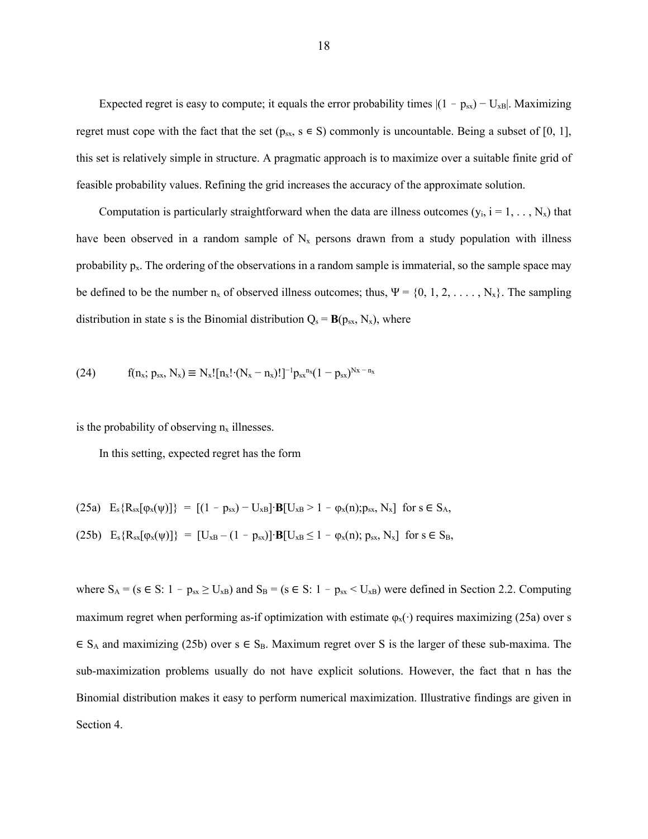Expected regret is easy to compute; it equals the error probability times  $|(1 - p_{sx}) - U_{xB}|$ . Maximizing regret must cope with the fact that the set ( $p_{sx}$ ,  $s \in S$ ) commonly is uncountable. Being a subset of [0, 1], this set is relatively simple in structure. A pragmatic approach is to maximize over a suitable finite grid of feasible probability values. Refining the grid increases the accuracy of the approximate solution.

Computation is particularly straightforward when the data are illness outcomes  $(y_i, i = 1, ..., N_x)$  that have been observed in a random sample of  $N_x$  persons drawn from a study population with illness probability  $p_x$ . The ordering of the observations in a random sample is immaterial, so the sample space may be defined to be the number  $n_x$  of observed illness outcomes; thus,  $\Psi = \{0, 1, 2, \ldots, N_x\}$ . The sampling distribution in state s is the Binomial distribution  $Q_s = B(p_{sx}, N_x)$ , where

(24) 
$$
f(n_x; p_{sx}, N_x) \equiv N_x! [n_x! \cdot (N_x - n_x)!]^{-1} p_{sx}^{n_x} (1 - p_{sx})^{Nx - n_x}
$$

is the probability of observing  $n_x$  illnesses.

In this setting, expected regret has the form

(25a) 
$$
E_s \{R_{sx}[\varphi_x(\psi)]\} = [(1 - p_{sx}) - U_{xB}] \cdot B[U_{xB} > 1 - \varphi_x(n); p_{sx}, N_x]
$$
 for  $s \in S_A$ ,  
(25b)  $E_s \{R_{sx}[\varphi_x(\psi)]\} = [U_{xB} - (1 - p_{sx})] \cdot B[U_{xB} \le 1 - \varphi_x(n); p_{sx}, N_x]$  for  $s \in S_B$ ,

where  $S_A = (s \in S: 1 - p_{sx} \ge U_{xB})$  and  $S_B = (s \in S: 1 - p_{sx} < U_{xB})$  were defined in Section 2.2. Computing maximum regret when performing as-if optimization with estimate  $\varphi_x(\cdot)$  requires maximizing (25a) over s  $\in S_A$  and maximizing (25b) over  $s \in S_B$ . Maximum regret over S is the larger of these sub-maxima. The sub-maximization problems usually do not have explicit solutions. However, the fact that n has the Binomial distribution makes it easy to perform numerical maximization. Illustrative findings are given in Section 4.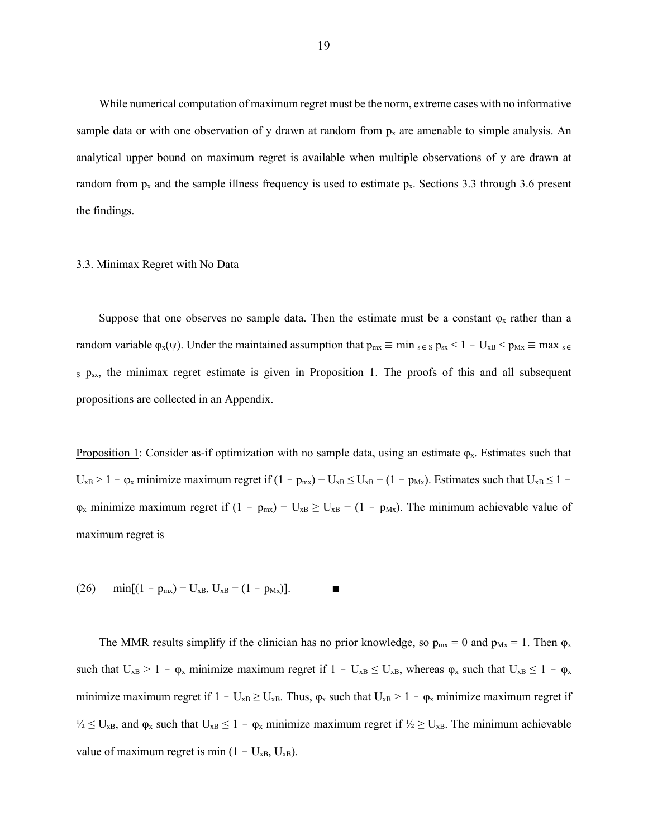While numerical computation of maximum regret must be the norm, extreme cases with no informative sample data or with one observation of y drawn at random from  $p_x$  are amenable to simple analysis. An analytical upper bound on maximum regret is available when multiple observations of y are drawn at random from  $p_x$  and the sample illness frequency is used to estimate  $p_x$ . Sections 3.3 through 3.6 present the findings.

#### 3.3. Minimax Regret with No Data

Suppose that one observes no sample data. Then the estimate must be a constant  $\varphi_x$  rather than a random variable  $\varphi_x(\psi)$ . Under the maintained assumption that  $p_{mx} \equiv \min_{s \in S} p_{sx} < 1 - U_{xB} < p_{Mx} \equiv \max_{s \in S} p_{sx}$ s p<sub>sx</sub>, the minimax regret estimate is given in Proposition 1. The proofs of this and all subsequent propositions are collected in an Appendix.

Proposition 1: Consider as-if optimization with no sample data, using an estimate  $\varphi_x$ . Estimates such that  $U_{xB} > 1 - \varphi_x$  minimize maximum regret if  $(1 - p_{mx}) - U_{xB} \leq U_{xB} - (1 - p_{Mx})$ . Estimates such that  $U_{xB} \leq 1 \varphi_x$  minimize maximum regret if  $(1 - \rho_{mx}) - U_{xB} \geq U_{xB} - (1 - \rho_{mx})$ . The minimum achievable value of maximum regret is

(26) min $[(1 - p_{mx}) - U_{xB}, U_{xB} - (1 - p_{Mx})]$ .

The MMR results simplify if the clinician has no prior knowledge, so  $p_{mx} = 0$  and  $p_{mx} = 1$ . Then  $\varphi_x$ such that  $U_{xB} > 1 - \varphi_x$  minimize maximum regret if  $1 - U_{xB} \leq U_{xB}$ , whereas  $\varphi_x$  such that  $U_{xB} \leq 1 - \varphi_x$ minimize maximum regret if  $1 - U_{xB} \geq U_{xB}$ . Thus,  $\varphi_x$  such that  $U_{xB} > 1 - \varphi_x$  minimize maximum regret if  $\frac{1}{2} \leq U_{\rm xB}$ , and  $\varphi_{\rm x}$  such that  $U_{\rm xB} \leq 1 - \varphi_{\rm x}$  minimize maximum regret if  $\frac{1}{2} \geq U_{\rm xB}$ . The minimum achievable value of maximum regret is min  $(1 - U_{xB}, U_{xB})$ .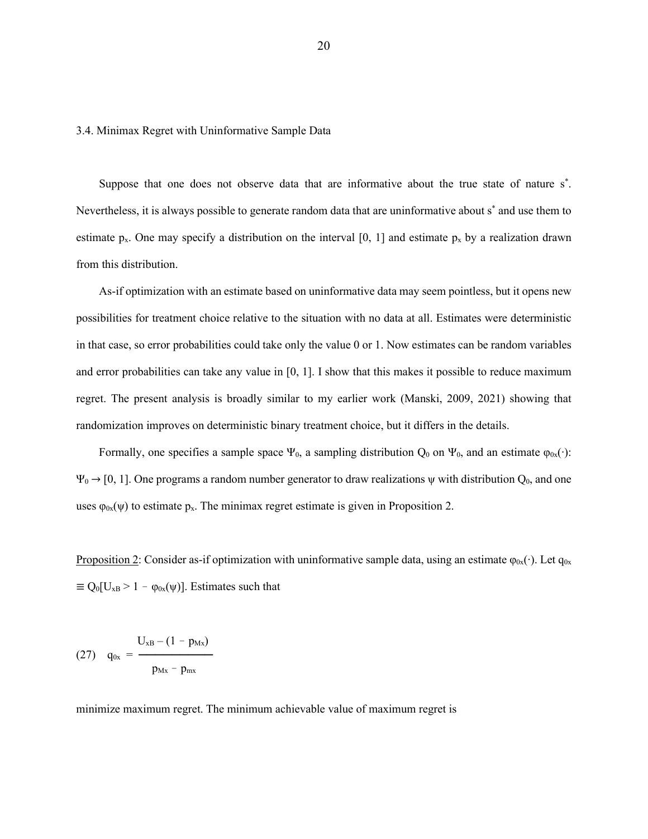3.4. Minimax Regret with Uninformative Sample Data

Suppose that one does not observe data that are informative about the true state of nature s<sup>\*</sup>. Nevertheless, it is always possible to generate random data that are uninformative about s\* and use them to estimate p<sub>x</sub>. One may specify a distribution on the interval [0, 1] and estimate p<sub>x</sub> by a realization drawn from this distribution.

As-if optimization with an estimate based on uninformative data may seem pointless, but it opens new possibilities for treatment choice relative to the situation with no data at all. Estimates were deterministic in that case, so error probabilities could take only the value 0 or 1. Now estimates can be random variables and error probabilities can take any value in  $[0, 1]$ . I show that this makes it possible to reduce maximum regret. The present analysis is broadly similar to my earlier work (Manski, 2009, 2021) showing that randomization improves on deterministic binary treatment choice, but it differs in the details.

Formally, one specifies a sample space  $\Psi_0$ , a sampling distribution  $Q_0$  on  $\Psi_0$ , and an estimate  $\varphi_0(x)$ :  $\Psi_0 \to [0, 1]$ . One programs a random number generator to draw realizations  $\psi$  with distribution  $Q_0$ , and one uses  $\varphi_{0x}(\psi)$  to estimate p<sub>x</sub>. The minimax regret estimate is given in Proposition 2.

Proposition 2: Consider as-if optimization with uninformative sample data, using an estimate  $\varphi_{0x}(\cdot)$ . Let  $q_{0x}$  $\equiv Q_0[U_{xB} > 1 - \varphi_{0x}(\psi)]$ . Estimates such that

(27) 
$$
q_{0x} = \frac{U_{xB} - (1 - p_{Mx})}{p_{Mx} - p_{mx}}
$$

minimize maximum regret. The minimum achievable value of maximum regret is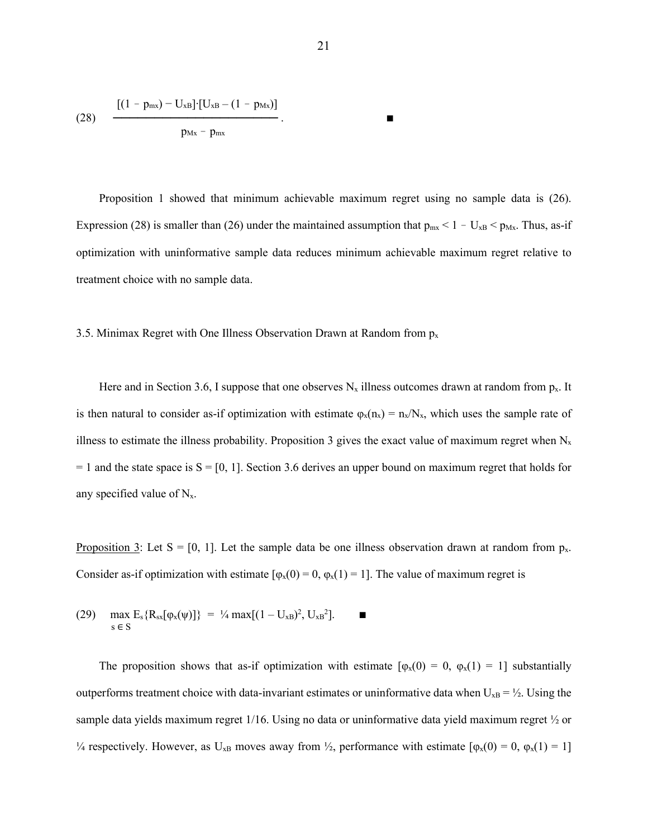(28) 
$$
\frac{[(1 - p_{mx}) - U_{xB}] \cdot [U_{xB} - (1 - p_{Mx})]}{p_{Mx} - p_{mx}}
$$

Proposition 1 showed that minimum achievable maximum regret using no sample data is (26). Expression (28) is smaller than (26) under the maintained assumption that  $p_{mx} < 1 - U_{xB} < p_{Mx}$ . Thus, as-if optimization with uninformative sample data reduces minimum achievable maximum regret relative to treatment choice with no sample data.

3.5. Minimax Regret with One Illness Observation Drawn at Random from  $p_x$ 

Here and in Section 3.6, I suppose that one observes  $N_x$  illness outcomes drawn at random from  $p_x$ . It is then natural to consider as-if optimization with estimate  $\varphi_x(n_x) = n_x/N_x$ , which uses the sample rate of illness to estimate the illness probability. Proposition 3 gives the exact value of maximum regret when  $N_x$  $= 1$  and the state space is  $S = [0, 1]$ . Section 3.6 derives an upper bound on maximum regret that holds for any specified value of  $N_x$ .

Proposition 3: Let  $S = [0, 1]$ . Let the sample data be one illness observation drawn at random from  $p_x$ . Consider as-if optimization with estimate  $[\varphi_x(0) = 0, \varphi_x(1) = 1]$ . The value of maximum regret is

(29) 
$$
\max_{s \in S} E_s \{ R_{sx}[\varphi_x(\psi)] \} = \frac{1}{4} \max[(1 - U_{xB})^2, U_{xB}^2]. \quad \blacksquare
$$

The proposition shows that as-if optimization with estimate  $[\varphi_x(0) = 0, \varphi_x(1) = 1]$  substantially outperforms treatment choice with data-invariant estimates or uninformative data when  $U_{xB} = \frac{1}{2}$ . Using the sample data yields maximum regret 1/16. Using no data or uninformative data yield maximum regret ½ or <sup>1</sup>/4 respectively. However, as U<sub>xB</sub> moves away from <sup>1</sup>/<sub>2</sub>, performance with estimate [φ<sub>x</sub>(0) = 0, φ<sub>x</sub>(1) = 1]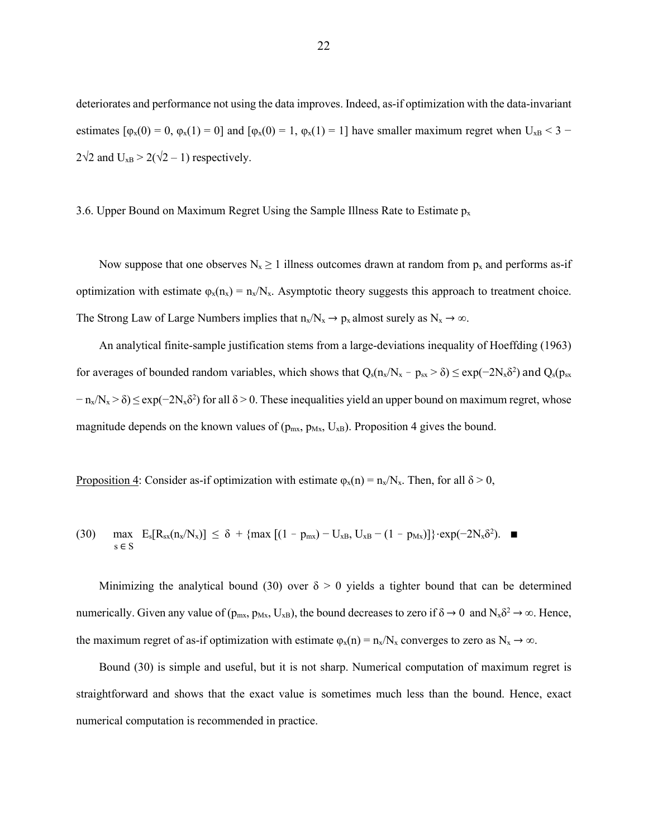deteriorates and performance not using the data improves. Indeed, as-if optimization with the data-invariant estimates  $[\varphi_x(0) = 0, \varphi_x(1) = 0]$  and  $[\varphi_x(0) = 1, \varphi_x(1) = 1]$  have smaller maximum regret when  $U_{xB} < 3$  –  $2\sqrt{2}$  and  $U_{xB} > 2(\sqrt{2}-1)$  respectively.

3.6. Upper Bound on Maximum Regret Using the Sample Illness Rate to Estimate  $p_x$ 

Now suppose that one observes  $N_x \ge 1$  illness outcomes drawn at random from  $p_x$  and performs as-if optimization with estimate  $\varphi_x(n_x) = n_x/N_x$ . Asymptotic theory suggests this approach to treatment choice. The Strong Law of Large Numbers implies that  $n_x/N_x \rightarrow p_x$  almost surely as  $N_x \rightarrow \infty$ .

An analytical finite-sample justification stems from a large-deviations inequality of Hoeffding (1963) for averages of bounded random variables, which shows that  $Q_s(n_x/N_x - p_{sx} > \delta) \leq exp(-2N_x\delta^2)$  and  $Q_s(p_{sx}$  $-n_x/N_x > \delta$ ) ≤ exp(-2N<sub>x</sub> $\delta^2$ ) for all  $\delta > 0$ . These inequalities yield an upper bound on maximum regret, whose magnitude depends on the known values of ( $p_{mx}$ ,  $p_{Mx}$ ,  $U_{xB}$ ). Proposition 4 gives the bound.

Proposition 4: Consider as-if optimization with estimate  $\varphi_x(n) = n_x/N_x$ . Then, for all  $\delta > 0$ ,

(30) 
$$
\max_{s \in S} E_s[R_{sx}(n_x/N_x)] \leq \delta + \{ \max[(1 - p_{mx}) - U_{xB}, U_{xB} - (1 - p_{Mx})] \} \cdot \exp(-2N_x \delta^2).
$$

Minimizing the analytical bound (30) over  $\delta > 0$  yields a tighter bound that can be determined numerically. Given any value of  $(p_{mx}, p_{Mx}, U_{xB})$ , the bound decreases to zero if  $\delta \to 0$  and  $N_x \delta^2 \to \infty$ . Hence, the maximum regret of as-if optimization with estimate  $\varphi_x(n) = n_x/N_x$  converges to zero as  $N_x \to \infty$ .

Bound (30) is simple and useful, but it is not sharp. Numerical computation of maximum regret is straightforward and shows that the exact value is sometimes much less than the bound. Hence, exact numerical computation is recommended in practice.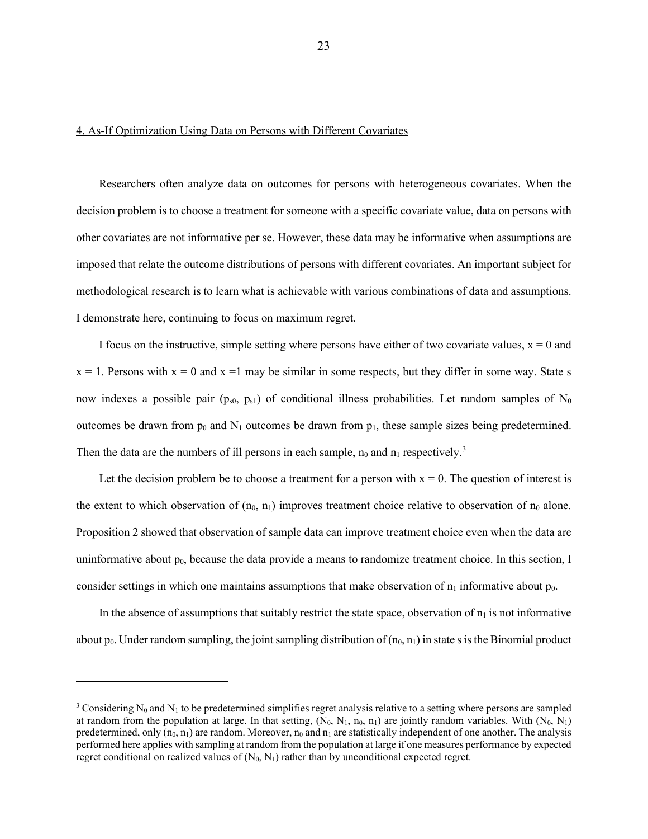## 4. As-If Optimization Using Data on Persons with Different Covariates

Researchers often analyze data on outcomes for persons with heterogeneous covariates. When the decision problem is to choose a treatment for someone with a specific covariate value, data on persons with other covariates are not informative per se. However, these data may be informative when assumptions are imposed that relate the outcome distributions of persons with different covariates. An important subject for methodological research is to learn what is achievable with various combinations of data and assumptions. I demonstrate here, continuing to focus on maximum regret.

I focus on the instructive, simple setting where persons have either of two covariate values,  $x = 0$  and  $x = 1$ . Persons with  $x = 0$  and  $x = 1$  may be similar in some respects, but they differ in some way. State s now indexes a possible pair ( $p_{s0}$ ,  $p_{s1}$ ) of conditional illness probabilities. Let random samples of N<sub>0</sub> outcomes be drawn from  $p_0$  and  $N_1$  outcomes be drawn from  $p_1$ , these sample sizes being predetermined. Then the data are the numbers of ill persons in each sample,  $n_0$  and  $n_1$  respectively.<sup>[3](#page-23-0)</sup>

Let the decision problem be to choose a treatment for a person with  $x = 0$ . The question of interest is the extent to which observation of  $(n_0, n_1)$  improves treatment choice relative to observation of  $n_0$  alone. Proposition 2 showed that observation of sample data can improve treatment choice even when the data are uninformative about  $p_0$ , because the data provide a means to randomize treatment choice. In this section, I consider settings in which one maintains assumptions that make observation of  $n_1$  informative about  $p_0$ .

In the absence of assumptions that suitably restrict the state space, observation of  $n_1$  is not informative about  $p_0$ . Under random sampling, the joint sampling distribution of  $(n_0, n_1)$  in state s is the Binomial product

<span id="page-23-0"></span><sup>&</sup>lt;sup>3</sup> Considering N<sub>0</sub> and N<sub>1</sub> to be predetermined simplifies regret analysis relative to a setting where persons are sampled at random from the population at large. In that setting,  $(N_0, N_1, n_0, n_1)$  are jointly random variables. With  $(N_0, N_1)$ predetermined, only  $(n_0, n_1)$  are random. Moreover,  $n_0$  and  $n_1$  are statistically independent of one another. The analysis performed here applies with sampling at random from the population at large if one measures performance by expected regret conditional on realized values of  $(N_0, N_1)$  rather than by unconditional expected regret.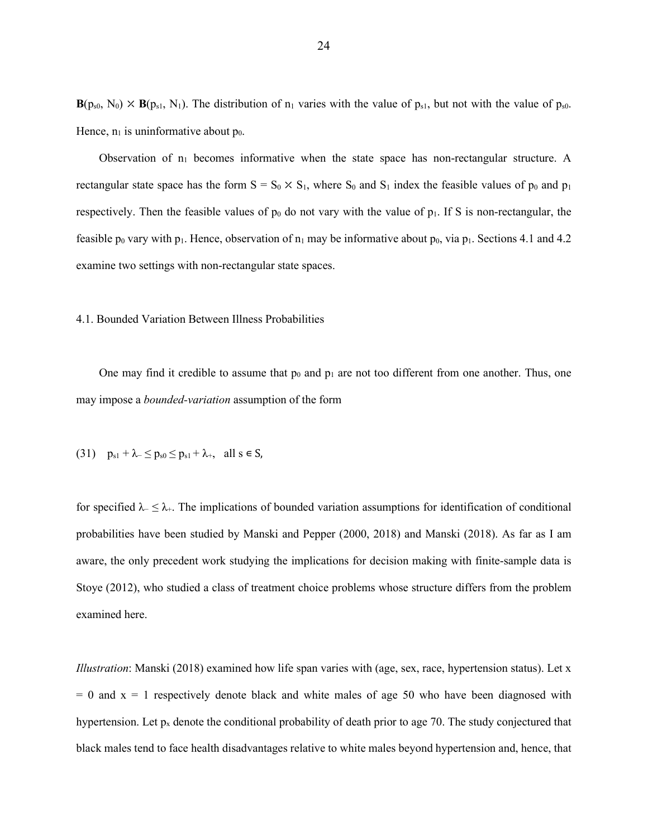$\mathbf{B}(p_{s0}, N_0) \times \mathbf{B}(p_{s1}, N_1)$ . The distribution of  $n_1$  varies with the value of  $p_{s1}$ , but not with the value of  $p_{s0}$ . Hence,  $n_1$  is uninformative about  $p_0$ .

Observation of  $n_1$  becomes informative when the state space has non-rectangular structure. A rectangular state space has the form  $S = S_0 \times S_1$ , where  $S_0$  and  $S_1$  index the feasible values of  $p_0$  and  $p_1$ respectively. Then the feasible values of  $p_0$  do not vary with the value of  $p_1$ . If S is non-rectangular, the feasible  $p_0$  vary with p<sub>1</sub>. Hence, observation of  $n_1$  may be informative about  $p_0$ , via p<sub>1</sub>. Sections 4.1 and 4.2 examine two settings with non-rectangular state spaces.

#### 4.1. Bounded Variation Between Illness Probabilities

One may find it credible to assume that  $p_0$  and  $p_1$  are not too different from one another. Thus, one may impose a *bounded-variation* assumption of the form

(31) 
$$
p_{s1} + \lambda_{-} \le p_{s0} \le p_{s1} + \lambda_{+}
$$
, all  $s \in S$ ,

for specified  $\lambda$ -  $\leq \lambda$ +. The implications of bounded variation assumptions for identification of conditional probabilities have been studied by Manski and Pepper (2000, 2018) and Manski (2018). As far as I am aware, the only precedent work studying the implications for decision making with finite-sample data is Stoye (2012), who studied a class of treatment choice problems whose structure differs from the problem examined here.

*Illustration*: Manski (2018) examined how life span varies with (age, sex, race, hypertension status). Let x  $= 0$  and  $x = 1$  respectively denote black and white males of age 50 who have been diagnosed with hypertension. Let  $p_x$  denote the conditional probability of death prior to age 70. The study conjectured that black males tend to face health disadvantages relative to white males beyond hypertension and, hence, that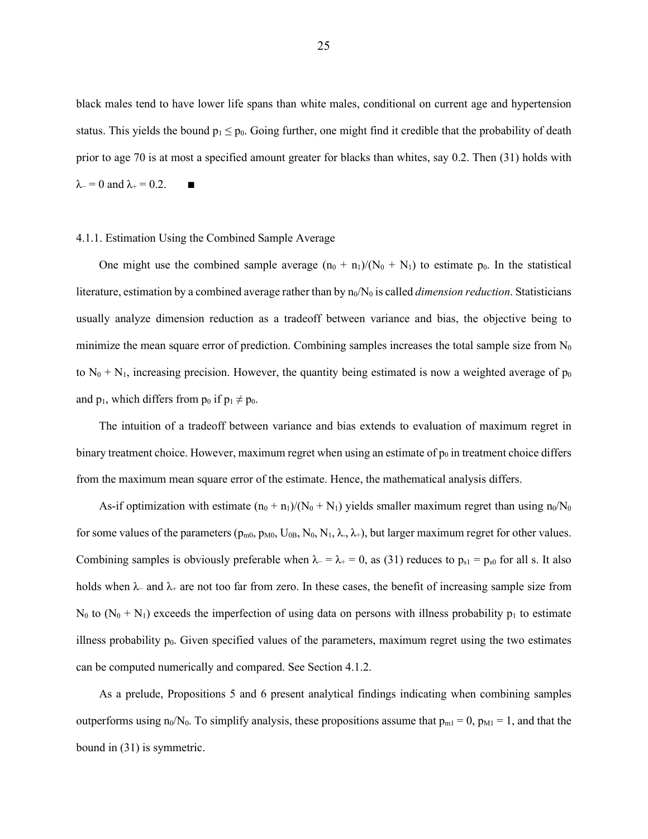black males tend to have lower life spans than white males, conditional on current age and hypertension status. This yields the bound  $p_1 \leq p_0$ . Going further, one might find it credible that the probability of death prior to age 70 is at most a specified amount greater for blacks than whites, say 0.2. Then (31) holds with  $\lambda$ - = 0 and  $\lambda$ + = 0.2. ■

## 4.1.1. Estimation Using the Combined Sample Average

One might use the combined sample average  $(n_0 + n_1)/(N_0 + N_1)$  to estimate p<sub>0</sub>. In the statistical literature, estimation by a combined average rather than by  $n_0/N_0$  is called *dimension reduction*. Statisticians usually analyze dimension reduction as a tradeoff between variance and bias, the objective being to minimize the mean square error of prediction. Combining samples increases the total sample size from  $N_0$ to  $N_0 + N_1$ , increasing precision. However, the quantity being estimated is now a weighted average of  $p_0$ and  $p_1$ , which differs from  $p_0$  if  $p_1 \neq p_0$ .

The intuition of a tradeoff between variance and bias extends to evaluation of maximum regret in binary treatment choice. However, maximum regret when using an estimate of  $p_0$  in treatment choice differs from the maximum mean square error of the estimate. Hence, the mathematical analysis differs.

As-if optimization with estimate  $(n_0 + n_1)/(N_0 + N_1)$  yields smaller maximum regret than using  $n_0/N_0$ for some values of the parameters ( $p_{m0}$ ,  $p_{M0}$ ,  $U_{0B}$ ,  $N_0$ ,  $N_1$ ,  $\lambda$ ,  $\lambda$ +), but larger maximum regret for other values. Combining samples is obviously preferable when  $\lambda = \lambda_+ = 0$ , as (31) reduces to  $p_{s1} = p_{s0}$  for all s. It also holds when  $\lambda$ − and  $\lambda$ + are not too far from zero. In these cases, the benefit of increasing sample size from N<sub>0</sub> to (N<sub>0</sub> + N<sub>1</sub>) exceeds the imperfection of using data on persons with illness probability  $p_1$  to estimate illness probability  $p_0$ . Given specified values of the parameters, maximum regret using the two estimates can be computed numerically and compared. See Section 4.1.2.

As a prelude, Propositions 5 and 6 present analytical findings indicating when combining samples outperforms using n<sub>0</sub>/N<sub>0</sub>. To simplify analysis, these propositions assume that  $p_{m1} = 0$ ,  $p_{M1} = 1$ , and that the bound in (31) is symmetric.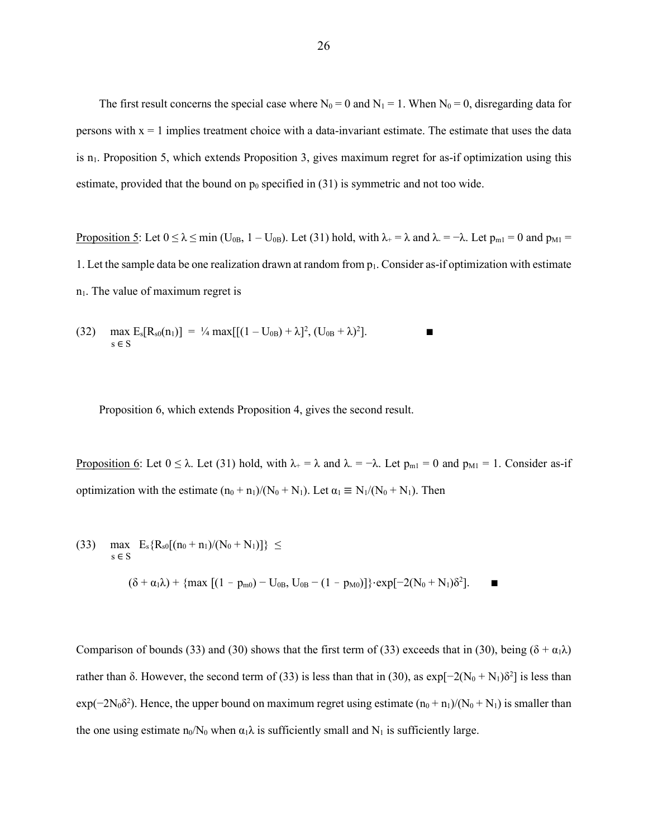The first result concerns the special case where  $N_0 = 0$  and  $N_1 = 1$ . When  $N_0 = 0$ , disregarding data for persons with  $x = 1$  implies treatment choice with a data-invariant estimate. The estimate that uses the data is n<sub>1</sub>. Proposition 5, which extends Proposition 3, gives maximum regret for as-if optimization using this estimate, provided that the bound on  $p_0$  specified in (31) is symmetric and not too wide.

Proposition 5: Let  $0 \le \lambda \le \min$  (U<sub>0B</sub>, 1 – U<sub>0B</sub>). Let (31) hold, with  $\lambda_+ = \lambda$  and  $\lambda_- = -\lambda$ . Let  $p_{m1} = 0$  and  $p_{M1} =$ 1. Let the sample data be one realization drawn at random from p1. Consider as-if optimization with estimate  $n_1$ . The value of maximum regret is

(32) 
$$
\max_{s \in S} E_s[R_{s0}(n_1)] = \frac{1}{4} \max[[(1 - U_{0B}) + \lambda]^2, (U_{0B} + \lambda)^2].
$$

Proposition 6, which extends Proposition 4, gives the second result.

Proposition 6: Let  $0 \le \lambda$ . Let (31) hold, with  $\lambda_+ = \lambda$  and  $\lambda_- = -\lambda$ . Let  $p_{m1} = 0$  and  $p_{M1} = 1$ . Consider as-if optimization with the estimate  $(n_0 + n_1)/(N_0 + N_1)$ . Let  $\alpha_1 \equiv N_1/(N_0 + N_1)$ . Then

(33) max Es{Rs0[(n0 + n1)/(N0 + N1)]} ≤ s <sup>∈</sup> <sup>S</sup> (δ + α1λ) + {max [(1 pm0) − U0B, U0B − (1 pM0)]}⋅exp[−2(N<sup>0</sup> + N1)δ<sup>2</sup> ]. ∎

Comparison of bounds (33) and (30) shows that the first term of (33) exceeds that in (30), being ( $\delta + \alpha_1 \lambda$ ) rather than δ. However, the second term of (33) is less than that in (30), as  $exp[-2(N_0 + N_1)\delta^2]$  is less than  $exp(-2N_0\delta^2)$ . Hence, the upper bound on maximum regret using estimate  $(n_0 + n_1)/(N_0 + N_1)$  is smaller than the one using estimate  $n_0/N_0$  when  $\alpha_1\lambda$  is sufficiently small and  $N_1$  is sufficiently large.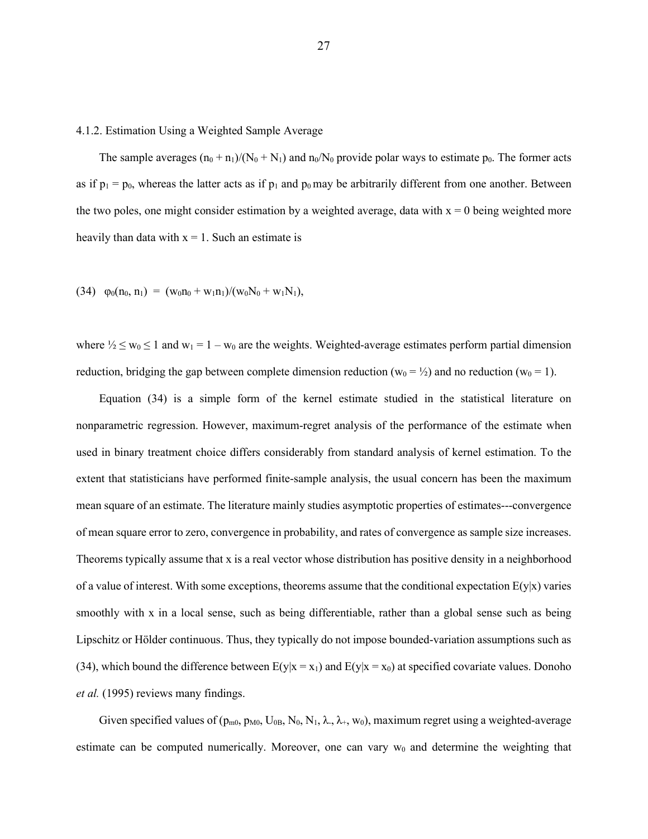#### 4.1.2. Estimation Using a Weighted Sample Average

The sample averages  $(n_0 + n_1)/(N_0 + N_1)$  and  $n_0/N_0$  provide polar ways to estimate p<sub>0</sub>. The former acts as if  $p_1 = p_0$ , whereas the latter acts as if  $p_1$  and  $p_0$  may be arbitrarily different from one another. Between the two poles, one might consider estimation by a weighted average, data with  $x = 0$  being weighted more heavily than data with  $x = 1$ . Such an estimate is

(34) 
$$
\varphi_0(n_0, n_1) = (w_0 n_0 + w_1 n_1)/(w_0 N_0 + w_1 N_1),
$$

where  $\frac{1}{2} \leq w_0 \leq 1$  and  $w_1 = 1 - w_0$  are the weights. Weighted-average estimates perform partial dimension reduction, bridging the gap between complete dimension reduction ( $w_0 = \frac{1}{2}$ ) and no reduction ( $w_0 = 1$ ).

Equation (34) is a simple form of the kernel estimate studied in the statistical literature on nonparametric regression. However, maximum-regret analysis of the performance of the estimate when used in binary treatment choice differs considerably from standard analysis of kernel estimation. To the extent that statisticians have performed finite-sample analysis, the usual concern has been the maximum mean square of an estimate. The literature mainly studies asymptotic properties of estimates---convergence of mean square error to zero, convergence in probability, and rates of convergence as sample size increases. Theorems typically assume that x is a real vector whose distribution has positive density in a neighborhood of a value of interest. With some exceptions, theorems assume that the conditional expectation  $E(y|x)$  varies smoothly with x in a local sense, such as being differentiable, rather than a global sense such as being Lipschitz or Hölder continuous. Thus, they typically do not impose bounded-variation assumptions such as (34), which bound the difference between  $E(y|x = x_1)$  and  $E(y|x = x_0)$  at specified covariate values. Donoho *et al.* (1995) reviews many findings.

Given specified values of ( $p_{m0}$ ,  $p_{M0}$ ,  $U_{0B}$ ,  $N_0$ ,  $N_1$ ,  $\lambda$ ,  $\lambda$ ,  $w_0$ ), maximum regret using a weighted-average estimate can be computed numerically. Moreover, one can vary  $w_0$  and determine the weighting that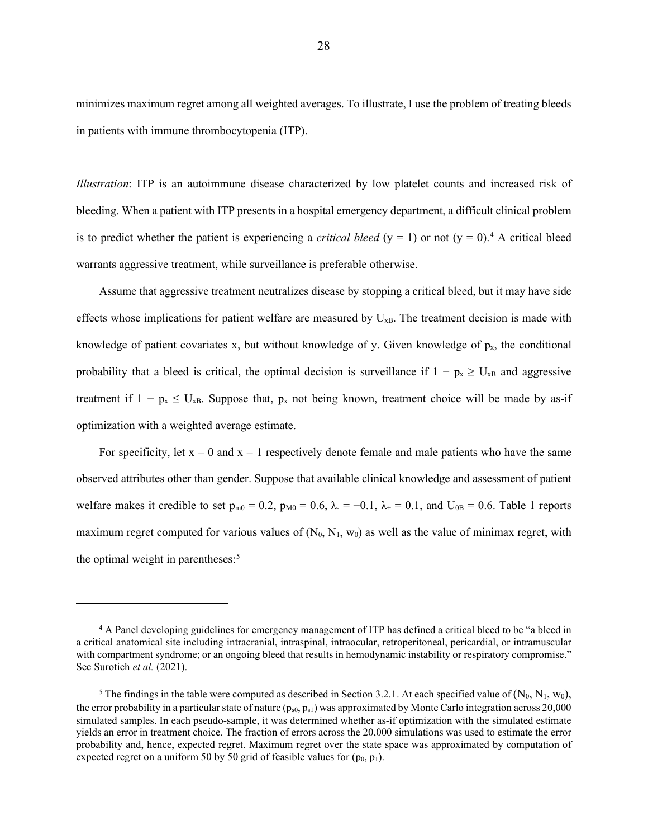minimizes maximum regret among all weighted averages. To illustrate, I use the problem of treating bleeds in patients with immune thrombocytopenia (ITP).

*Illustration*: ITP is an autoimmune disease characterized by low platelet counts and increased risk of bleeding. When a patient with ITP presents in a hospital emergency department, a difficult clinical problem is to predict whether the patient is experiencing a *critical bleed*  $(y = 1)$  or not  $(y = 0)$ .<sup>[4](#page-28-0)</sup> A critical bleed warrants aggressive treatment, while surveillance is preferable otherwise.

Assume that aggressive treatment neutralizes disease by stopping a critical bleed, but it may have side effects whose implications for patient welfare are measured by  $U_{xB}$ . The treatment decision is made with knowledge of patient covariates x, but without knowledge of y. Given knowledge of  $p_x$ , the conditional probability that a bleed is critical, the optimal decision is surveillance if  $1 - p_x \ge U_{xB}$  and aggressive treatment if  $1 - p_x \leq U_{xB}$ . Suppose that,  $p_x$  not being known, treatment choice will be made by as-if optimization with a weighted average estimate.

For specificity, let  $x = 0$  and  $x = 1$  respectively denote female and male patients who have the same observed attributes other than gender. Suppose that available clinical knowledge and assessment of patient welfare makes it credible to set  $p_{m0} = 0.2$ ,  $p_{M0} = 0.6$ ,  $\lambda = -0.1$ ,  $\lambda_{+} = 0.1$ , and  $U_{0B} = 0.6$ . Table 1 reports maximum regret computed for various values of  $(N_0, N_1, w_0)$  as well as the value of minimax regret, with the optimal weight in parentheses: [5](#page-28-1)

<span id="page-28-0"></span><sup>4</sup> A Panel developing guidelines for emergency management of ITP has defined a critical bleed to be "a bleed in a critical anatomical site including intracranial, intraspinal, intraocular, retroperitoneal, pericardial, or intramuscular with compartment syndrome; or an ongoing bleed that results in hemodynamic instability or respiratory compromise." See Surotich *et al.* (2021).

<span id="page-28-1"></span><sup>&</sup>lt;sup>5</sup> The findings in the table were computed as described in Section 3.2.1. At each specified value of  $(N_0, N_1, w_0)$ , the error probability in a particular state of nature  $(p_{s0}, p_{s1})$  was approximated by Monte Carlo integration across 20,000 simulated samples. In each pseudo-sample, it was determined whether as-if optimization with the simulated estimate yields an error in treatment choice. The fraction of errors across the 20,000 simulations was used to estimate the error probability and, hence, expected regret. Maximum regret over the state space was approximated by computation of expected regret on a uniform 50 by 50 grid of feasible values for  $(p_0, p_1)$ .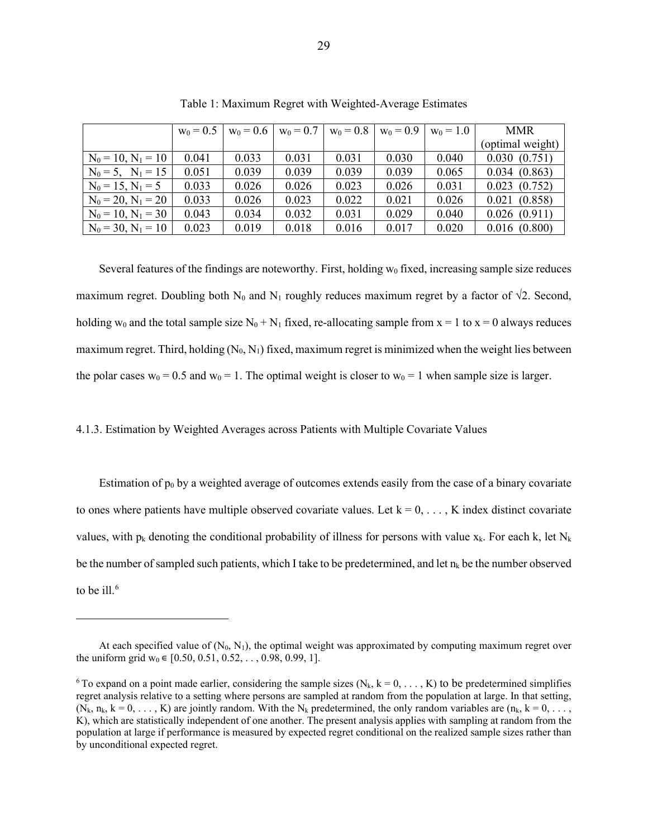|                         | $w_0 = 0.5$ | $w_0 = 0.6$ | $w_0 = 0.7$ | $w_0 = 0.8$ | $w_0 = 0.9$ | $w_0 = 1.0$ | <b>MMR</b>       |
|-------------------------|-------------|-------------|-------------|-------------|-------------|-------------|------------------|
|                         |             |             |             |             |             |             | (optimal weight) |
| $N_0 = 10$ , $N_1 = 10$ | 0.041       | 0.033       | 0.031       | 0.031       | 0.030       | 0.040       | 0.030(0.751)     |
| $N_0 = 5$ , $N_1 = 15$  | 0.051       | 0.039       | 0.039       | 0.039       | 0.039       | 0.065       | 0.034(0.863)     |
| $N_0 = 15, N_1 = 5$     | 0.033       | 0.026       | 0.026       | 0.023       | 0.026       | 0.031       | 0.023(0.752)     |
| $N_0 = 20$ , $N_1 = 20$ | 0.033       | 0.026       | 0.023       | 0.022       | 0.021       | 0.026       | 0.021(0.858)     |
| $N_0 = 10, N_1 = 30$    | 0.043       | 0.034       | 0.032       | 0.031       | 0.029       | 0.040       | 0.026(0.911)     |
| $N_0 = 30, N_1 = 10$    | 0.023       | 0.019       | 0.018       | 0.016       | 0.017       | 0.020       | 0.016(0.800)     |

Table 1: Maximum Regret with Weighted-Average Estimates

Several features of the findings are noteworthy. First, holding  $w_0$  fixed, increasing sample size reduces maximum regret. Doubling both N<sub>0</sub> and N<sub>1</sub> roughly reduces maximum regret by a factor of  $\sqrt{2}$ . Second, holding w<sub>0</sub> and the total sample size N<sub>0</sub> + N<sub>1</sub> fixed, re-allocating sample from  $x = 1$  to  $x = 0$  always reduces maximum regret. Third, holding  $(N_0, N_1)$  fixed, maximum regret is minimized when the weight lies between the polar cases  $w_0 = 0.5$  and  $w_0 = 1$ . The optimal weight is closer to  $w_0 = 1$  when sample size is larger.

### 4.1.3. Estimation by Weighted Averages across Patients with Multiple Covariate Values

Estimation of  $p_0$  by a weighted average of outcomes extends easily from the case of a binary covariate to ones where patients have multiple observed covariate values. Let  $k = 0, \ldots, K$  index distinct covariate values, with  $p_k$  denoting the conditional probability of illness for persons with value  $x_k$ . For each k, let  $N_k$ be the number of sampled such patients, which I take to be predetermined, and let  $n_k$  be the number observed to be ill. $^6$  $^6$ 

At each specified value of  $(N_0, N_1)$ , the optimal weight was approximated by computing maximum regret over the uniform grid w<sub>0</sub>  $\in$  [0.50, 0.51, 0.52, . . , 0.98, 0.99, 1].

<span id="page-29-0"></span><sup>&</sup>lt;sup>6</sup> To expand on a point made earlier, considering the sample sizes  $(N_k, k = 0, \ldots, K)$  to be predetermined simplifies regret analysis relative to a setting where persons are sampled at random from the population at large. In that setting,  $(N_k, n_k, k = 0, \ldots, K)$  are jointly random. With the N<sub>k</sub> predetermined, the only random variables are  $(n_k, k = 0, \ldots, K)$ K), which are statistically independent of one another. The present analysis applies with sampling at random from the population at large if performance is measured by expected regret conditional on the realized sample sizes rather than by unconditional expected regret.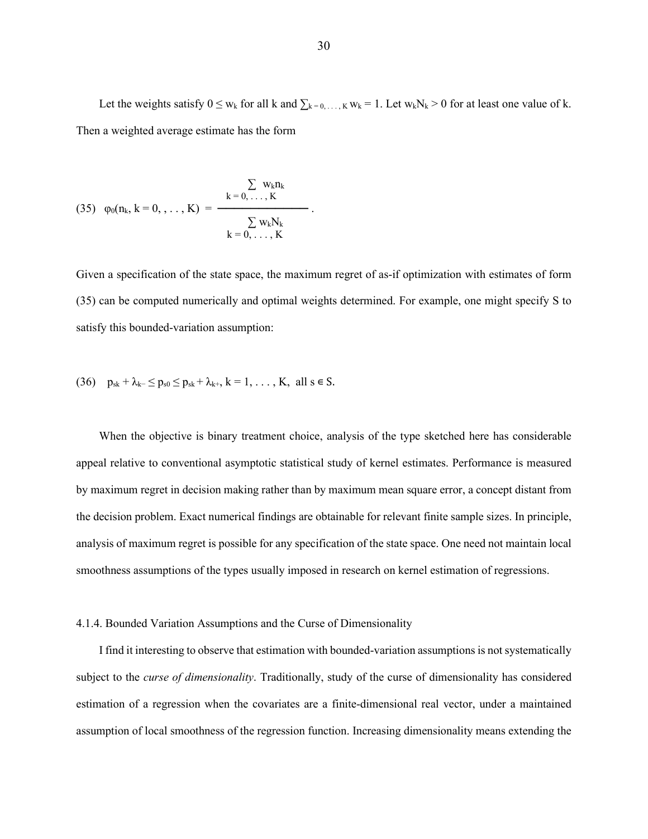Let the weights satisfy  $0 \le w_k$  for all k and  $\sum_{k=0,\dots,K} w_k = 1$ . Let  $w_kN_k > 0$  for at least one value of k. Then a weighted average estimate has the form

$$
(35) \quad \phi_0(n_k, \, k=0, \, \ldots, \, K) \, = \, \frac{\sum\limits_{k\, =\, 0, \, \ldots \, ,\, K} \! w_k n_k}{\sum\limits_{k\, =\, 0, \, \ldots \, ,\, K} \! w_k N_k} \, .
$$

Given a specification of the state space, the maximum regret of as-if optimization with estimates of form (35) can be computed numerically and optimal weights determined. For example, one might specify S to satisfy this bounded-variation assumption:

(36) 
$$
p_{sk} + \lambda_{k-} \le p_{s0} \le p_{sk} + \lambda_{k+}, k = 1, ..., K, all s \in S.
$$

When the objective is binary treatment choice, analysis of the type sketched here has considerable appeal relative to conventional asymptotic statistical study of kernel estimates. Performance is measured by maximum regret in decision making rather than by maximum mean square error, a concept distant from the decision problem. Exact numerical findings are obtainable for relevant finite sample sizes. In principle, analysis of maximum regret is possible for any specification of the state space. One need not maintain local smoothness assumptions of the types usually imposed in research on kernel estimation of regressions.

### 4.1.4. Bounded Variation Assumptions and the Curse of Dimensionality

I find it interesting to observe that estimation with bounded-variation assumptions is not systematically subject to the *curse of dimensionality*. Traditionally, study of the curse of dimensionality has considered estimation of a regression when the covariates are a finite-dimensional real vector, under a maintained assumption of local smoothness of the regression function. Increasing dimensionality means extending the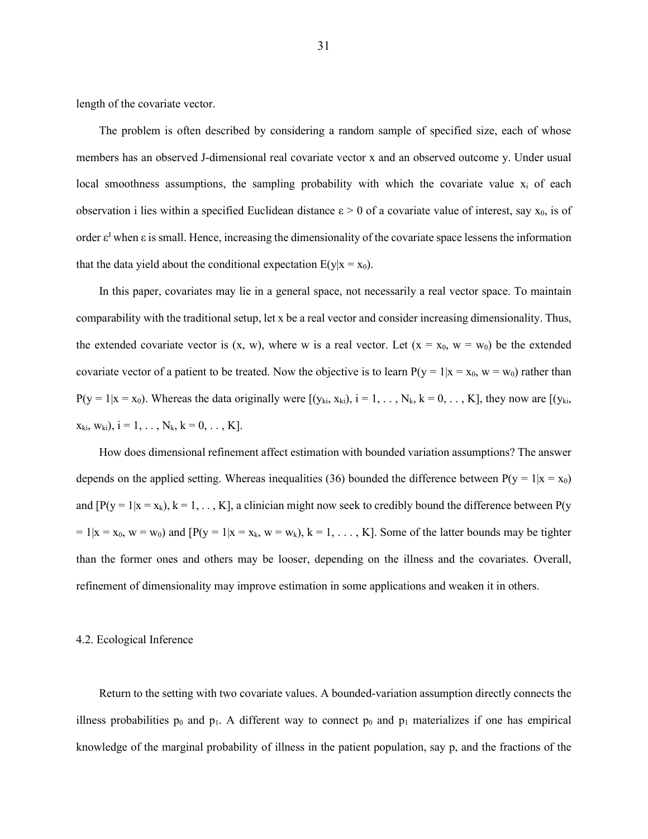length of the covariate vector.

The problem is often described by considering a random sample of specified size, each of whose members has an observed J-dimensional real covariate vector x and an observed outcome y. Under usual local smoothness assumptions, the sampling probability with which the covariate value  $x_i$  of each observation i lies within a specified Euclidean distance  $\varepsilon > 0$  of a covariate value of interest, say  $x_0$ , is of order  $\varepsilon^J$  when  $\varepsilon$  is small. Hence, increasing the dimensionality of the covariate space lessens the information that the data yield about the conditional expectation  $E(y|x = x_0)$ .

In this paper, covariates may lie in a general space, not necessarily a real vector space. To maintain comparability with the traditional setup, let x be a real vector and consider increasing dimensionality. Thus, the extended covariate vector is  $(x, w)$ , where w is a real vector. Let  $(x = x_0, w = w_0)$  be the extended covariate vector of a patient to be treated. Now the objective is to learn  $P(y = 1|x = x_0, w = w_0)$  rather than  $P(y = 1 | x = x_0)$ . Whereas the data originally were  $[(y_{ki}, x_{ki}), i = 1, ..., N_k, k = 0, ..., K]$ , they now are  $[(y_{ki}, x_{ki}), j = 1, ..., N_k, k = 0, ..., K]$  $x_{ki}$ ,  $w_{ki}$ ),  $i = 1, \ldots, N_k$ ,  $k = 0, \ldots, K$ ].

How does dimensional refinement affect estimation with bounded variation assumptions? The answer depends on the applied setting. Whereas inequalities (36) bounded the difference between  $P(y = 1|x = x_0)$ and  $[P(y = 1 | x = x_k), k = 1, ..., K]$ , a clinician might now seek to credibly bound the difference between  $P(y$  $= 1|x = x_0, w = w_0)$  and  $[P(y = 1|x = x_k, w = w_k), k = 1, ..., K]$ . Some of the latter bounds may be tighter than the former ones and others may be looser, depending on the illness and the covariates. Overall, refinement of dimensionality may improve estimation in some applications and weaken it in others.

#### 4.2. Ecological Inference

Return to the setting with two covariate values. A bounded-variation assumption directly connects the illness probabilities  $p_0$  and  $p_1$ . A different way to connect  $p_0$  and  $p_1$  materializes if one has empirical knowledge of the marginal probability of illness in the patient population, say p, and the fractions of the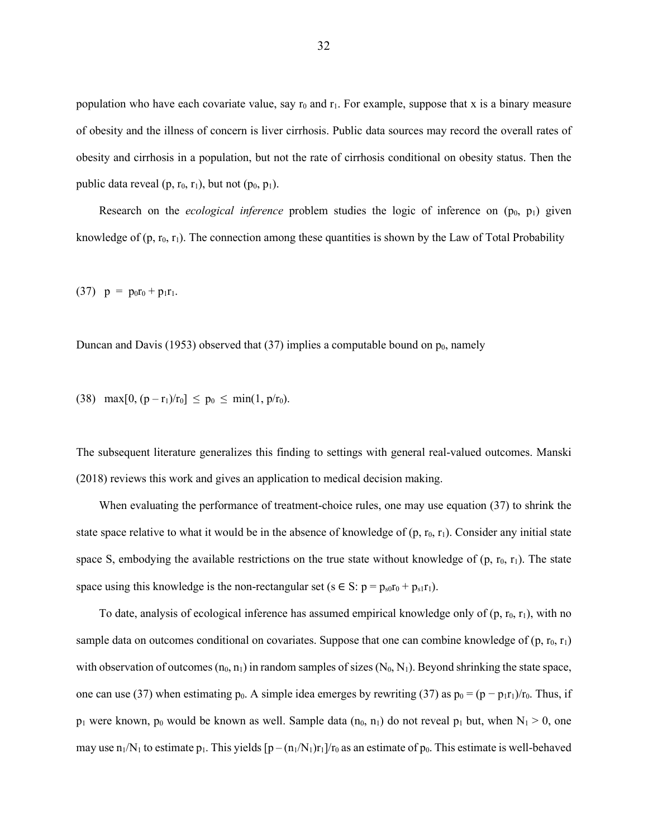population who have each covariate value, say  $r_0$  and  $r_1$ . For example, suppose that x is a binary measure of obesity and the illness of concern is liver cirrhosis. Public data sources may record the overall rates of obesity and cirrhosis in a population, but not the rate of cirrhosis conditional on obesity status. Then the public data reveal  $(p, r_0, r_1)$ , but not  $(p_0, p_1)$ .

Research on the *ecological inference* problem studies the logic of inference on  $(p_0, p_1)$  given knowledge of  $(p, r_0, r_1)$ . The connection among these quantities is shown by the Law of Total Probability

(37)  $p = p_0r_0 + p_1r_1$ .

Duncan and Davis (1953) observed that (37) implies a computable bound on  $p_0$ , namely

(38) max $[0, (p - r_1)/r_0] \le p_0 \le \min(1, p/r_0)$ .

The subsequent literature generalizes this finding to settings with general real-valued outcomes. Manski (2018) reviews this work and gives an application to medical decision making.

When evaluating the performance of treatment-choice rules, one may use equation (37) to shrink the state space relative to what it would be in the absence of knowledge of  $(p, r_0, r_1)$ . Consider any initial state space S, embodying the available restrictions on the true state without knowledge of  $(p, r_0, r_1)$ . The state space using this knowledge is the non-rectangular set (s  $\in S$ : p =  $p_{s0}r_0 + p_{s1}r_1$ ).

To date, analysis of ecological inference has assumed empirical knowledge only of  $(p, r_0, r_1)$ , with no sample data on outcomes conditional on covariates. Suppose that one can combine knowledge of  $(p, r_0, r_1)$ with observation of outcomes  $(n_0, n_1)$  in random samples of sizes  $(N_0, N_1)$ . Beyond shrinking the state space, one can use (37) when estimating p<sub>0</sub>. A simple idea emerges by rewriting (37) as  $p_0 = (p - p_1r_1)/r_0$ . Thus, if  $p_1$  were known,  $p_0$  would be known as well. Sample data  $(n_0, n_1)$  do not reveal  $p_1$  but, when  $N_1 > 0$ , one may use  $n_1/N_1$  to estimate p<sub>1</sub>. This yields  $[p - (n_1/N_1)r_1]/r_0$  as an estimate of p<sub>0</sub>. This estimate is well-behaved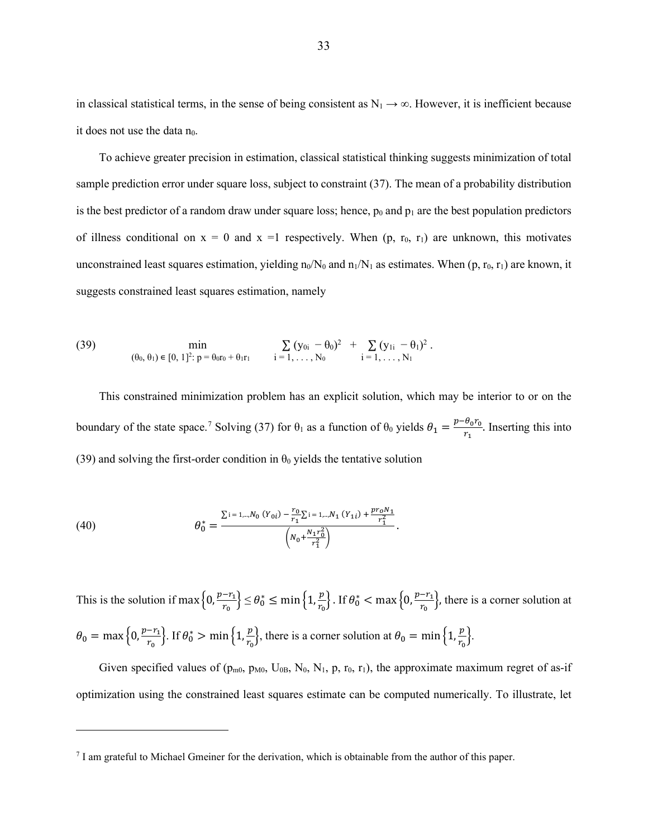in classical statistical terms, in the sense of being consistent as  $N_1 \rightarrow \infty$ . However, it is inefficient because it does not use the data  $n_0$ .

To achieve greater precision in estimation, classical statistical thinking suggests minimization of total sample prediction error under square loss, subject to constraint (37). The mean of a probability distribution is the best predictor of a random draw under square loss; hence,  $p_0$  and  $p_1$  are the best population predictors of illness conditional on  $x = 0$  and  $x = 1$  respectively. When  $(p, r_0, r_1)$  are unknown, this motivates unconstrained least squares estimation, yielding n<sub>0</sub>/N<sub>0</sub> and  $n_1/N_1$  as estimates. When (p,  $r_0$ ,  $r_1$ ) are known, it suggests constrained least squares estimation, namely

(39) 
$$
\min_{(\theta_0, \theta_1) \in [0, 1]^2 : p = \theta_{0T0} + \theta_1 r_1} \qquad \sum_{i=1, ..., N_0} (y_{0i} - \theta_0)^2 + \sum_{i=1, ..., N_1} (y_{1i} - \theta_1)^2.
$$

This constrained minimization problem has an explicit solution, which may be interior to or on the boundary of the state space.<sup>[7](#page-33-0)</sup> Solving (37) for  $\theta_1$  as a function of  $\theta_0$  yields  $\theta_1 = \frac{p - \theta_0 r_0}{r_1}$ . Inserting this into (39) and solving the first-order condition in  $\theta_0$  yields the tentative solution

(40) 
$$
\theta_0^* = \frac{\sum_{i=1,\dots,N_0} (Y_{0i}) - \frac{r_0}{r_1} \sum_{i=1,\dots,N_1} (Y_{1i}) + \frac{pr_0 N_1}{r_1^2}}{\left(N_0 + \frac{N_1 r_0^2}{r_1^2}\right)}.
$$

This is the solution if max  $\left\{0, \frac{p-r_1}{r_0}\right\}$  $\left\{\frac{-r_1}{r_0}\right\} \leq \theta_0^* \leq \min\left\{1, \frac{p}{r_0}\right\}$  $\left\{\frac{p}{r_0}\right\}$ . If  $\theta_0^* < \max\left\{0, \frac{p-r_1}{r_0}\right\}$  $\left\{\frac{-r_1}{r_0}\right\}$ , there is a corner solution at  $\theta_0 = \max\left\{0, \frac{p-r_1}{r_0}\right\}$  $\left\{\frac{-r_1}{r_0}\right\}$ . If  $\theta_0^* > \min\left\{1, \frac{p}{r_0}\right\}$  $\left\{\frac{p}{r_0}\right\}$ , there is a corner solution at  $\theta_0 = \min\left\{1, \frac{p}{r_0}\right\}$  $\frac{p}{r_0}$ .

Given specified values of ( $p_{m0}$ ,  $p_{M0}$ ,  $U_{0B}$ ,  $N_0$ ,  $N_1$ ,  $p$ ,  $r_0$ ,  $r_1$ ), the approximate maximum regret of as-if optimization using the constrained least squares estimate can be computed numerically. To illustrate, let

<span id="page-33-0"></span><sup>7</sup> I am grateful to Michael Gmeiner for the derivation, which is obtainable from the author of this paper.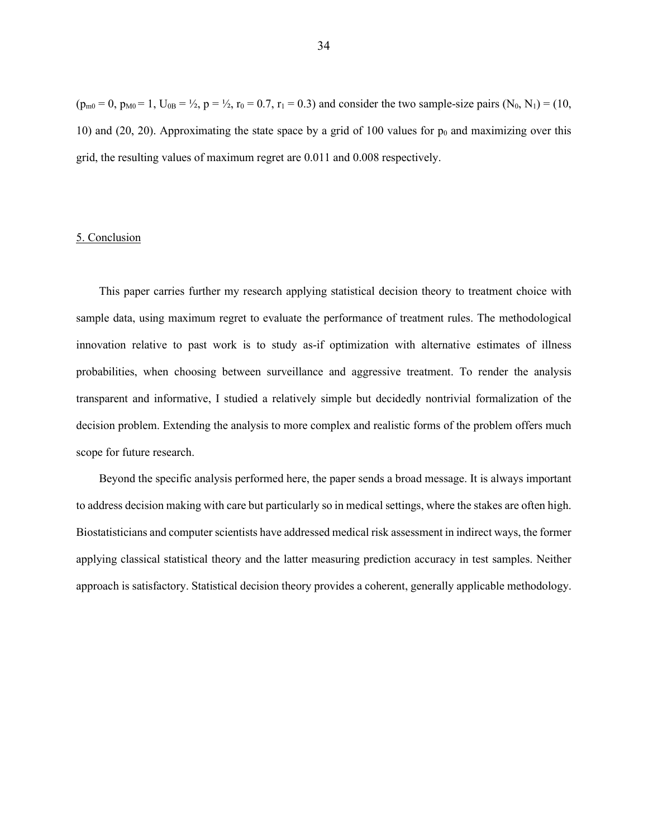$(p_{m0} = 0, p_{M0} = 1, U_{0B} = \frac{1}{2}, p = \frac{1}{2}, r_0 = 0.7, r_1 = 0.3)$  and consider the two sample-size pairs  $(N_0, N_1) = (10,$ 10) and (20, 20). Approximating the state space by a grid of 100 values for  $p_0$  and maximizing over this grid, the resulting values of maximum regret are 0.011 and 0.008 respectively.

# 5. Conclusion

This paper carries further my research applying statistical decision theory to treatment choice with sample data, using maximum regret to evaluate the performance of treatment rules. The methodological innovation relative to past work is to study as-if optimization with alternative estimates of illness probabilities, when choosing between surveillance and aggressive treatment. To render the analysis transparent and informative, I studied a relatively simple but decidedly nontrivial formalization of the decision problem. Extending the analysis to more complex and realistic forms of the problem offers much scope for future research.

Beyond the specific analysis performed here, the paper sends a broad message. It is always important to address decision making with care but particularly so in medical settings, where the stakes are often high. Biostatisticians and computer scientists have addressed medical risk assessment in indirect ways, the former applying classical statistical theory and the latter measuring prediction accuracy in test samples. Neither approach is satisfactory. Statistical decision theory provides a coherent, generally applicable methodology.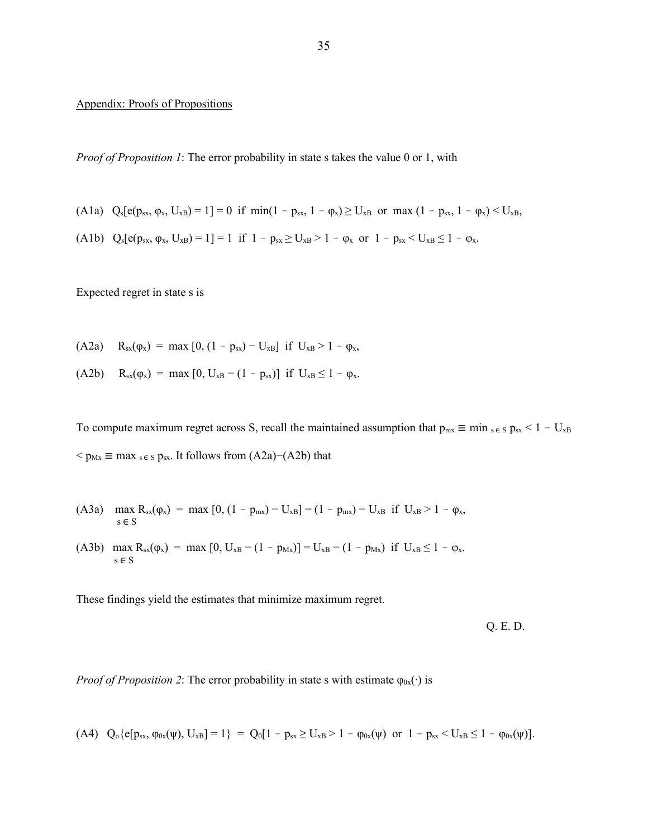### Appendix: Proofs of Propositions

*Proof of Proposition 1*: The error probability in state s takes the value 0 or 1, with

- (A1a)  $Q_s[e(p_{sx}, \varphi_x, U_{xB})] = 1 = 0$  if  $min(1 p_{sx}, 1 \varphi_x) \ge U_{xB}$  or  $max(1 p_{sx}, 1 \varphi_x) \le U_{xB}$ ,
- (A1b)  $Q_s[e(p_{sx}, \varphi_x, U_{xB}) = 1] = 1$  if  $1 p_{sx} \ge U_{xB} > 1 \varphi_x$  or  $1 p_{sx} < U_{xB} \le 1 \varphi_x$ .

Expected regret in state s is

- (A2a) R<sub>sx</sub>( $\varphi$ <sub>x</sub>) = max [0, (1 p<sub>sx</sub>) U<sub>xB</sub>] if U<sub>xB</sub> > 1  $\varphi$ <sub>x</sub>,
- (A2b)  $R_{sx}(\varphi_x) = \max [0, U_{xB} (1 p_{sx})]$  if  $U_{xB} \le 1 \varphi_x$ .

To compute maximum regret across S, recall the maintained assumption that  $p_{mx} \equiv min_{s \in S} p_{sx} < 1 - U_{xB}$  $p_{\text{Mx}} \equiv \max_{s \in S} p_{\text{sx}}$ . It follows from (A2a)–(A2b) that

(A3a) 
$$
\max_{s \in S} R_{sx}(\varphi_x) = \max [0, (1 - p_{mx}) - U_{xB}] = (1 - p_{mx}) - U_{xB}
$$
 if  $U_{xB} > 1 - \varphi_x$ ,

(A3b) max  $R_{sx}(\varphi_x) = \max [0, U_{xB} - (1 - p_{Mx})] = U_{xB} - (1 - p_{Mx})$  if  $U_{xB} \le 1 - \varphi_x$ .  $\mathbf{s} \in \mathcal{S}$ 

These findings yield the estimates that minimize maximum regret.

Q. E. D.

*Proof of Proposition 2*: The error probability in state s with estimate  $\varphi_{0x}(\cdot)$  is

$$
(A4) \quad Q_{o}\{e[p_{sx}, \varphi_{0x}(\psi), U_{xB}]=1\} \; = \; Q_{0}[1-p_{sx} \geq U_{xB}>1-\varphi_{0x}(\psi) \; \; or \; \; 1-p_{sx} \leq U_{xB} \leq 1-\varphi_{0x}(\psi)].
$$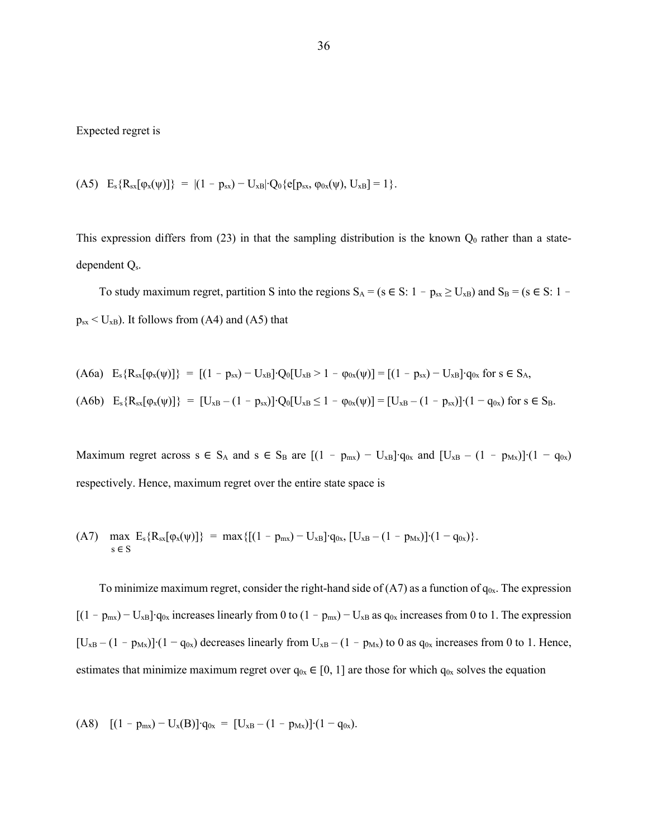### Expected regret is

(A5)  $E_s\{R_{sx}[\varphi_x(\psi)]\} = |(1 - p_{sx}) - U_{xB}|\cdot Q_0\{e[p_{sx}, \varphi_{0x}(\psi), U_{xB}]\} = 1\}.$ 

This expression differs from  $(23)$  in that the sampling distribution is the known  $Q_0$  rather than a statedependent Qs.

To study maximum regret, partition S into the regions  $S_A = (s \in S: 1 - p_{sx} \ge U_{xB})$  and  $S_B = (s \in S: 1 - p_{sx} \ge U_{bx})$  $p_{sx}$  < U<sub>xB</sub>). It follows from (A4) and (A5) that

(A6a) 
$$
E_s \{R_{sx}[\varphi_x(\psi)]\} = [(1 - p_{sx}) - U_{xB}] \cdot Q_0[U_{xB} > 1 - \varphi_{0x}(\psi)] = [(1 - p_{sx}) - U_{xB}] \cdot q_{0x}
$$
 for  $s \in S_A$ ,  
(A6b)  $E_s \{R_{sx}[\varphi_x(\psi)]\} = [U_{xB} - (1 - p_{sx})] \cdot Q_0[U_{xB} \le 1 - \varphi_{0x}(\psi)] = [U_{xB} - (1 - p_{sx})] \cdot (1 - q_{0x})$  for  $s \in S_B$ .

Maximum regret across s ∈ S<sub>A</sub> and s ∈ S<sub>B</sub> are  $[(1 - p_{mx}) - U_{xB}]$ • $q_{0x}$  and  $[U_{xB} - (1 - p_{Mx})] (1 - q_{0x})$ respectively. Hence, maximum regret over the entire state space is

(A7) 
$$
\max_{s \in S} E_s \{R_{sx}[\varphi_x(\psi)]\} = \max \{[(1 - p_{mx}) - U_{xB}] \cdot q_{0x}, [U_{xB} - (1 - p_{Mx})] \cdot (1 - q_{0x})\}.
$$

To minimize maximum regret, consider the right-hand side of  $(A7)$  as a function of  $q_{0x}$ . The expression  $[(1 - p_{mx}) - U_{xB}]$ ⋅q<sub>0x</sub> increases linearly from 0 to  $(1 - p_{mx}) - U_{xB}$  as q<sub>0x</sub> increases from 0 to 1. The expression [U<sub>xB</sub> – (1 -  $p_{Mx}$ )]⋅(1 -  $q_{0x}$ ) decreases linearly from U<sub>xB</sub> – (1 -  $p_{Mx}$ ) to 0 as  $q_{0x}$  increases from 0 to 1. Hence, estimates that minimize maximum regret over  $q_{0x} \in [0, 1]$  are those for which  $q_{0x}$  solves the equation

$$
(A8) \quad [(1 - p_{mx}) - U_x(B)] \cdot q_{0x} = [U_{xB} - (1 - p_{Mx})] \cdot (1 - q_{0x}).
$$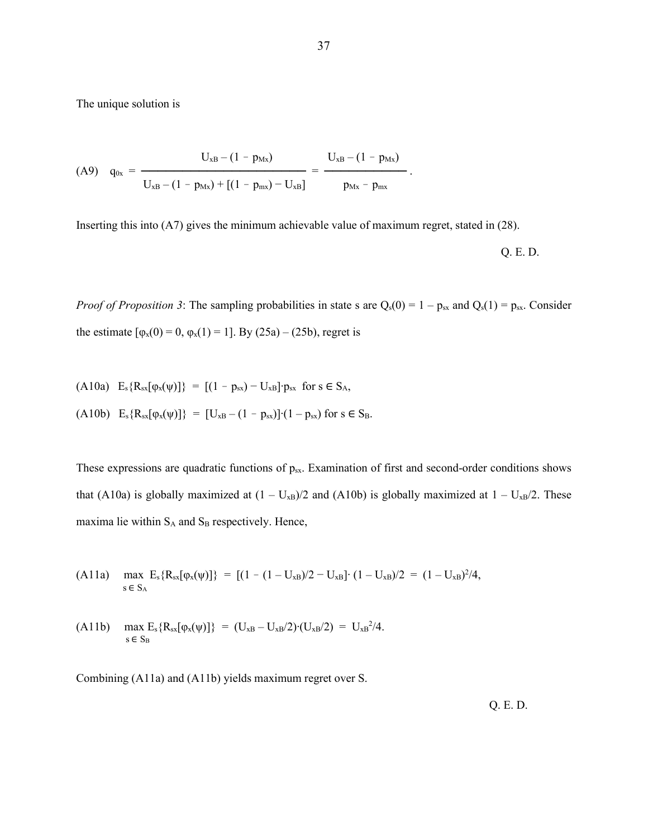The unique solution is

$$
\text{(A9)} \quad q_{0x} = \frac{U_{xB} - (1 - p_{Mx})}{U_{xB} - (1 - p_{Mx}) + [(1 - p_{mx}) - U_{xB}]} = \frac{U_{xB} - (1 - p_{Mx})}{p_{Mx} - p_{mx}}.
$$

Inserting this into (A7) gives the minimum achievable value of maximum regret, stated in (28).

$$
Q.E.D.
$$

*Proof of Proposition 3*: The sampling probabilities in state s are  $Q_s(0) = 1 - p_{sx}$  and  $Q_s(1) = p_{sx}$ . Consider the estimate  $[\varphi_x(0) = 0, \varphi_x(1) = 1]$ . By (25a) – (25b), regret is

(A10a) 
$$
E_s \{R_{sx}[\varphi_x(\psi)]\} = [(1 - p_{sx}) - U_{xB}]\cdot p_{sx}
$$
 for  $s \in S_A$ ,  
(A10b)  $E_s \{R_{sx}[\varphi_x(\psi)]\} = [U_{xB} - (1 - p_{sx})]\cdot (1 - p_{sx})$  for  $s \in S_B$ .

These expressions are quadratic functions of p<sub>sx</sub>. Examination of first and second-order conditions shows that (A10a) is globally maximized at  $(1 - U_{xB})/2$  and (A10b) is globally maximized at  $1 - U_{xB}/2$ . These maxima lie within  $S_A$  and  $S_B$  respectively. Hence,

(A11a) 
$$
\max_{s \in S_A} E_s \{R_{sx}[\varphi_x(\psi)]\} = [(1 - (1 - U_{xB})/2 - U_{xB}] \cdot (1 - U_{xB})/2 = (1 - U_{xB})^2/4,
$$

(A11b) 
$$
\max_{s \in S_B} E_s \{R_{sx}[\varphi_x(\psi)]\} = (U_{xB} - U_{xB}/2) \cdot (U_{xB}/2) = U_{xB}^2/4.
$$

Combining (A11a) and (A11b) yields maximum regret over S.

Q. E. D.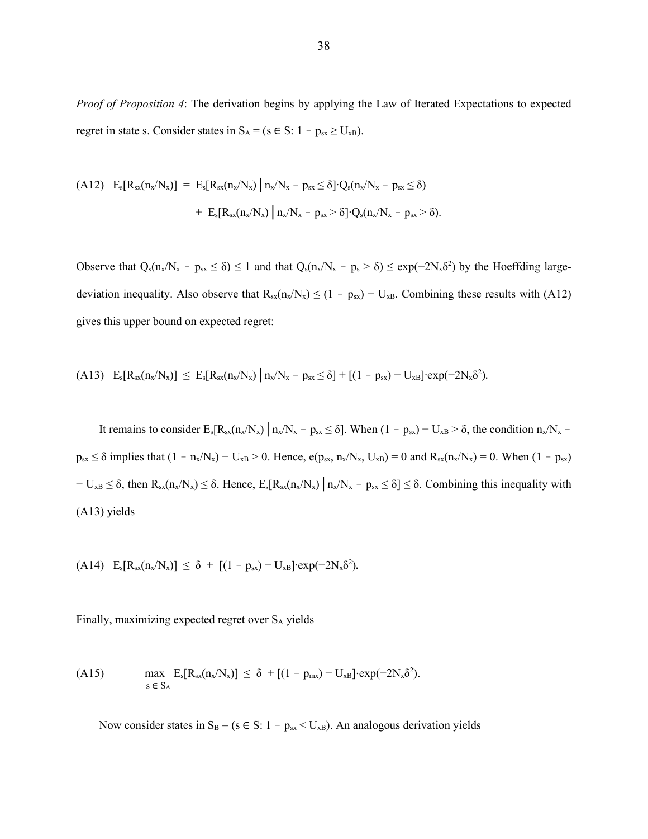*Proof of Proposition 4*: The derivation begins by applying the Law of Iterated Expectations to expected regret in state s. Consider states in  $S_A = (s \in S: 1 - p_{sx} \ge U_{xB})$ .

(A12) 
$$
E_s[R_{sx}(n_x/N_x)] = E_s[R_{sx}(n_x/N_x) | n_x/N_x - p_{sx} \le \delta] \cdot Q_s(n_x/N_x - p_{sx} \le \delta)
$$
  
  $+ E_s[R_{sx}(n_x/N_x) | n_x/N_x - p_{sx} > \delta] \cdot Q_s(n_x/N_x - p_{sx} > \delta).$ 

Observe that  $Q_s(n_x/N_x - p_{sx} \le \delta) \le 1$  and that  $Q_s(n_x/N_x - p_s > \delta) \le \exp(-2N_x\delta^2)$  by the Hoeffding largedeviation inequality. Also observe that  $R_{sx}(n_x/N_x) \le (1 - p_{sx}) - U_{xB}$ . Combining these results with (A12) gives this upper bound on expected regret:

$$
(A13)\quad E_s[R_{sx}(n_x/N_x)] \leq E_s[R_{sx}(n_x/N_x)]\ n_x/N_x - p_{sx} \leq \delta] + [(1-p_{sx})-U_{xB}]\cdot exp(-2N_x\delta^2).
$$

It remains to consider  $E_s[R_{sx}(n_x/N_x)]n_x/N_x - p_{sx} \le \delta$ . When  $(1 - p_{sx}) - U_{xB} > \delta$ , the condition  $n_x/N_x$   $p_{sx} \leq \delta$  implies that  $(1 - n_x/N_x) - U_{xB} > 0$ . Hence,  $e(p_{sx}, n_x/N_x, U_{xB}) = 0$  and  $R_{sx}(n_x/N_x) = 0$ . When  $(1 - p_{sx})$  $-\mathbf{U}_{\mathbf{X}\mathbf{B}} \leq \delta$ , then  $\mathbf{R}_{\mathbf{S}\mathbf{X}}(\mathbf{n}_{\mathbf{X}}/\mathbf{N}_{\mathbf{X}}) \leq \delta$ . Hence,  $\mathbf{E}_{\mathbf{S}}[\mathbf{R}_{\mathbf{S}\mathbf{X}}(\mathbf{n}_{\mathbf{X}}/\mathbf{N}_{\mathbf{X}})] \mathbf{n}_{\mathbf{X}}/\mathbf{N}_{\mathbf{X}} - \mathbf{p}_{\mathbf{S}\mathbf{X}} \leq \delta \leq \delta$ . Combining this inequality (A13) yields

(A14)  $E_s[R_{sx}(n_x/N_x)] \le \delta + [(1 - p_{sx}) - U_{xB}] \cdot exp(-2N_x\delta^2).$ 

Finally, maximizing expected regret over SA yields

(A15) 
$$
\max_{s \in S_A} E_s[R_{sx}(n_x/N_x)] \leq \delta + [(1 - p_{mx}) - U_{xB}] \cdot \exp(-2N_x \delta^2).
$$

Now consider states in  $S_B = (s \in S: 1 - p_{sx} < U_{xB})$ . An analogous derivation yields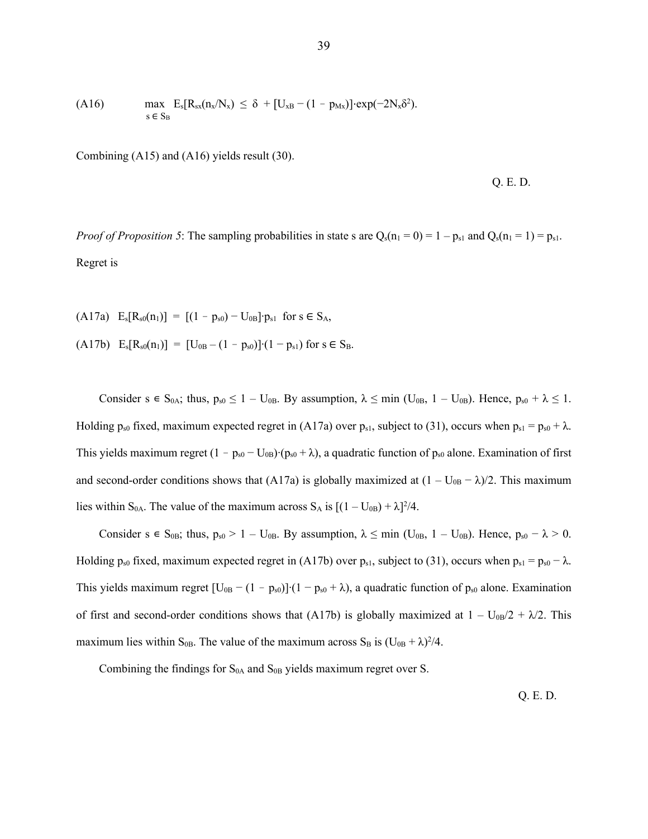(A16) 
$$
\max_{s \in S_B} E_s[R_{sx}(n_x/N_x) \leq \delta + [U_{xB} - (1 - p_{Mx})] \cdot \exp(-2N_x\delta^2).
$$

Combining (A15) and (A16) yields result (30).

Q. E. D.

*Proof of Proposition 5*: The sampling probabilities in state s are  $Q_s(n_1 = 0) = 1 - p_{s1}$  and  $Q_s(n_1 = 1) = p_{s1}$ . Regret is

(A17a)  $E_s[R_{s0}(n_1)] = [(1 - p_{s0}) - U_{0B}] \cdot p_{s1}$  for  $s \in S_A$ ,  $(A17b)$  E<sub>s</sub>[R<sub>s0</sub>(n<sub>1</sub>)] = [U<sub>0B</sub> – (1 – p<sub>s0</sub>)]⋅(1 – p<sub>s1</sub>) for s ∈ S<sub>B</sub>.

Consider s  $\epsilon$  S<sub>0A</sub>; thus,  $p_{s0} \le 1 - U_{0B}$ . By assumption,  $\lambda \le \min$  (U<sub>0B</sub>,  $1 - U_{0B}$ ). Hence,  $p_{s0} + \lambda \le 1$ . Holding  $p_{s0}$  fixed, maximum expected regret in (A17a) over  $p_{s1}$ , subject to (31), occurs when  $p_{s1} = p_{s0} + \lambda$ . This yields maximum regret  $(1 - p_{s0} - U_{0B}) (p_{s0} + \lambda)$ , a quadratic function of  $p_{s0}$  alone. Examination of first and second-order conditions shows that (A17a) is globally maximized at  $(1 - U_{0B} - \lambda)/2$ . This maximum lies within S<sub>0A</sub>. The value of the maximum across S<sub>A</sub> is  $[(1 - U_{0B}) + \lambda]^2/4$ .

Consider s  $\epsilon$  S<sub>0B</sub>; thus,  $p_{s0} > 1 - U_{0B}$ . By assumption,  $\lambda \le \min$  (U<sub>0B</sub>, 1 – U<sub>0B</sub>). Hence,  $p_{s0} - \lambda > 0$ . Holding  $p_{s0}$  fixed, maximum expected regret in (A17b) over  $p_{s1}$ , subject to (31), occurs when  $p_{s1} = p_{s0} - \lambda$ . This yields maximum regret  $[U_{0B} - (1 - p_{s0})](1 - p_{s0} + \lambda)$ , a quadratic function of  $p_{s0}$  alone. Examination of first and second-order conditions shows that (A17b) is globally maximized at  $1 - U_{0B}/2 + \lambda/2$ . This maximum lies within S<sub>0B</sub>. The value of the maximum across S<sub>B</sub> is  $(U_{0B} + \lambda)^2/4$ .

Combining the findings for  $S_{0A}$  and  $S_{0B}$  yields maximum regret over S.

Q. E. D.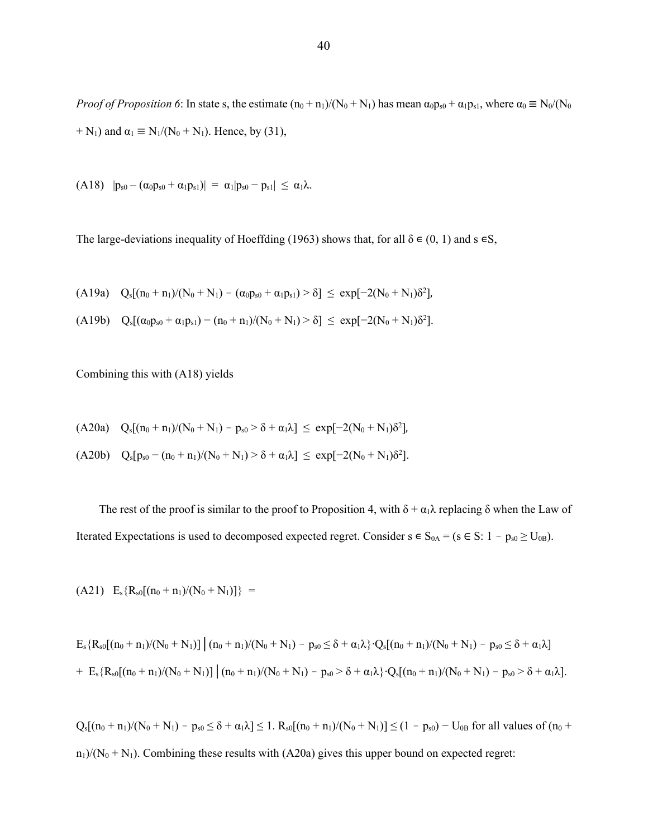*Proof of Proposition 6*: In state s, the estimate  $(n_0 + n_1)/(N_0 + N_1)$  has mean  $\alpha_0 p_{s0} + \alpha_1 p_{s1}$ , where  $\alpha_0 \equiv N_0/(N_0)$ + N<sub>1</sub>) and  $\alpha_1 \equiv N_1/(N_0 + N_1)$ . Hence, by (31),

(A18)  $|p_{s0} - (\alpha_0 p_{s0} + \alpha_1 p_{s1})| = \alpha_1 |p_{s0} - p_{s1}| \leq \alpha_1 \lambda$ .

The large-deviations inequality of Hoeffding (1963) shows that, for all  $\delta \in (0, 1)$  and  $s \in S$ ,

(A19a)  $Q_s[(n_0 + n_1)/(N_0 + N_1) - (\alpha_0 p_{s0} + \alpha_1 p_{s1}) > \delta] \leq \exp[-2(N_0 + N_1)\delta^2]$ 

$$
(A19b) \quad Q_s[(\alpha_0p_{s0} + \alpha_1p_{s1}) - (n_0 + n_1)/(N_0 + N_1) > \delta] \leq \exp[-2(N_0 + N_1)\delta^2].
$$

Combining this with (A18) yields

$$
(A20a)\quad Q_s[(n_0+n_1)/(N_0+N_1)-p_{s0}\!>\!\delta+\alpha_1\lambda]\,\le\,\exp[-2(N_0+N_1)\delta^2],
$$

$$
(A20b) \quad Q_s[p_{s0} - (n_0 + n_1)/(N_0 + N_1) > \delta + \alpha_1 \lambda] \leq \exp[-2(N_0 + N_1)\delta^2].
$$

The rest of the proof is similar to the proof to Proposition 4, with  $\delta + \alpha_1 \lambda$  replacing  $\delta$  when the Law of Iterated Expectations is used to decomposed expected regret. Consider  $s \in S_{0A} = (s \in S: 1 - p_{s0} \ge U_{0B})$ .

$$
(A21)\quad E_s\{R_{s0}[(n_0+n_1)/(N_0+N_1)]\}\ =
$$

$$
E_s\{R_{s0}[(n_0+n_1)/(N_0+N_1)] \mid (n_0+n_1)/(N_0+N_1) - p_{s0} \leq \delta + \alpha_1 \lambda\} \cdot Q_s[(n_0+n_1)/(N_0+N_1) - p_{s0} \leq \delta + \alpha_1 \lambda]
$$
  
+ 
$$
E_s\{R_{s0}[(n_0+n_1)/(N_0+N_1)] \mid (n_0+n_1)/(N_0+N_1) - p_{s0} > \delta + \alpha_1 \lambda\} \cdot Q_s[(n_0+n_1)/(N_0+N_1) - p_{s0} > \delta + \alpha_1 \lambda].
$$

 $Q_s[(n_0 + n_1)/(N_0 + N_1) - p_{s0} \le \delta + \alpha_1 \lambda] \le 1$ .  $R_{s0}[(n_0 + n_1)/(N_0 + N_1)] \le (1 - p_{s0}) - U_{0B}$  for all values of  $(n_0 + n_1)$  $n_1$ /(N<sub>0</sub> + N<sub>1</sub>). Combining these results with (A20a) gives this upper bound on expected regret: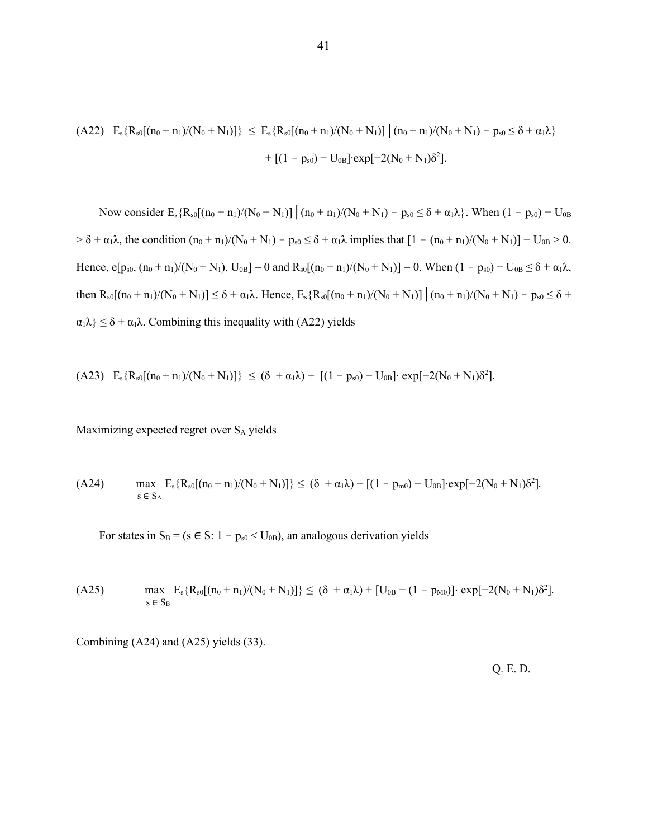(A22) 
$$
E_s\{R_{s0}[(n_0 + n_1)/(N_0 + N_1)]\} \le E_s\{R_{s0}[(n_0 + n_1)/(N_0 + N_1)] | (n_0 + n_1)/(N_0 + N_1) - p_{s0} \le \delta + \alpha_1\lambda\}
$$
  
  $+ [(1 - p_{s0}) - U_{0B}] \cdot \exp[-2(N_0 + N_1)\delta^2].$ 

Now consider  $E_s$ { $R_{s0}[(n_0 + n_1)/(N_0 + N_1)]$   $(n_0 + n_1)/(N_0 + N_1) - p_{s0} \le \delta + \alpha_1 \lambda$ }. When  $(1 - p_{s0}) - U_{0B}$  $> \delta + \alpha_1 \lambda$ , the condition  $(n_0 + n_1)/(N_0 + N_1) - p_{s0} \leq \delta + \alpha_1 \lambda$  implies that  $[1 - (n_0 + n_1)/(N_0 + N_1)] - U_{0B} > 0$ . Hence,  $e[p_{s0}, (n_0 + n_1)/(N_0 + N_1)$ ,  $U_{0B}] = 0$  and  $R_{s0}[(n_0 + n_1)/(N_0 + N_1)] = 0$ . When  $(1 - p_{s0}) - U_{0B} \le \delta + \alpha_1 \lambda$ , then  $R_{s0}[(n_0 + n_1)/(N_0 + N_1)] \le \delta + \alpha_1 \lambda$ . Hence,  $E_s R_{s0}[(n_0 + n_1)/(N_0 + N_1)] \Big| (n_0 + n_1)/(N_0 + N_1) - p_{s0} \le \delta +$  $\alpha_1 \lambda$ }  $\leq \delta + \alpha_1 \lambda$ . Combining this inequality with (A22) yields

$$
\text{(A23)} \quad E_s\{R_{s0}[(n_0+n_1)/(N_0+N_1)]\} \ \leq \ (\delta \ + \alpha_1\lambda) \ + \ \ [(1\ -\ p_{s0})\ -\ U_{0B}]\cdot \ \exp[-2(N_0+N_1)\delta^2].
$$

Maximizing expected regret over SA yields

(A24) 
$$
\max_{s \in S_A} E_s \{ R_{s0} [(n_0 + n_1)/(N_0 + N_1)] \} \leq (\delta + \alpha_1 \lambda) + [(1 - p_{m0}) - U_{0B}] \cdot \exp[-2(N_0 + N_1)\delta^2].
$$

For states in  $S_B = (s \in S: 1 - p_{s0} < U_{0B})$ , an analogous derivation yields

(A25) 
$$
\max_{s \in S_B} E_s \{ R_{s0} [(n_0 + n_1)/(N_0 + N_1)] \} \leq (\delta + \alpha_1 \lambda) + [U_{0B} - (1 - p_{M0})] \cdot \exp[-2(N_0 + N_1)\delta^2].
$$

Combining (A24) and (A25) yields (33).

Q. E. D.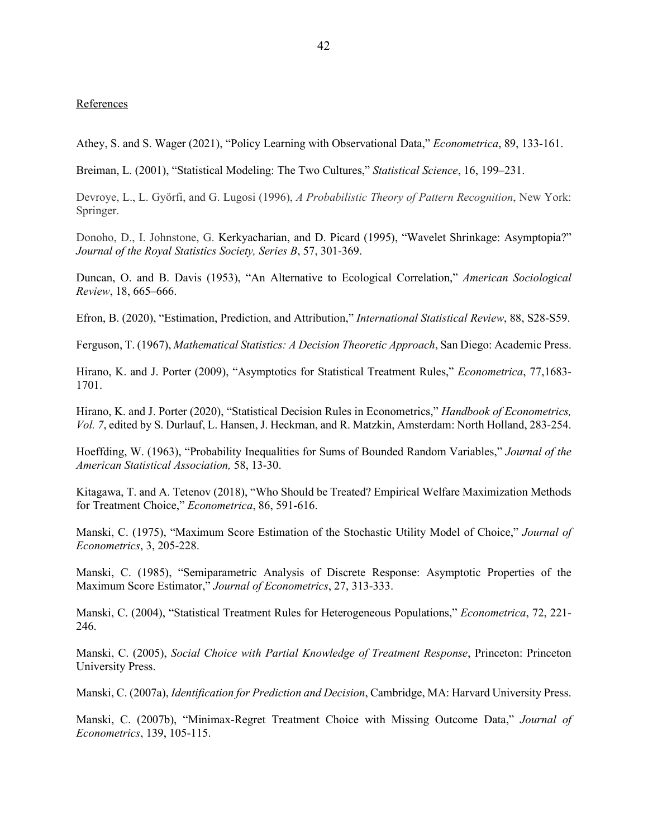### **References**

Athey, S. and S. Wager (2021), "Policy Learning with Observational Data," *Econometrica*, 89, 133-161.

Breiman, L. (2001), "Statistical Modeling: The Two Cultures," *Statistical Science*, 16, 199–231.

Devroye, L., L. Györfi, and G. Lugosi (1996), *A Probabilistic Theory of Pattern Recognition*, New York: Springer.

Donoho, D., I. Johnstone, G. Kerkyacharian, and D. Picard (1995), "Wavelet Shrinkage: Asymptopia?" *Journal of the Royal Statistics Society, Series B*, 57, 301-369.

Duncan, O. and B. Davis (1953), "An Alternative to Ecological Correlation," *American Sociological Review*, 18, 665–666.

Efron, B. (2020), "Estimation, Prediction, and Attribution," *International Statistical Review*, 88, S28-S59.

Ferguson, T. (1967), *Mathematical Statistics: A Decision Theoretic Approach*, San Diego: Academic Press.

Hirano, K. and J. Porter (2009), "Asymptotics for Statistical Treatment Rules," *Econometrica*, 77,1683- 1701.

Hirano, K. and J. Porter (2020), "Statistical Decision Rules in Econometrics," *Handbook of Econometrics, Vol. 7*, edited by S. Durlauf, L. Hansen, J. Heckman, and R. Matzkin, Amsterdam: North Holland, 283-254.

Hoeffding, W. (1963), "Probability Inequalities for Sums of Bounded Random Variables," *Journal of the American Statistical Association,* 58, 13-30.

Kitagawa, T. and A. Tetenov (2018), "Who Should be Treated? Empirical Welfare Maximization Methods for Treatment Choice," *Econometrica*, 86, 591-616.

Manski, C. (1975), "Maximum Score Estimation of the Stochastic Utility Model of Choice," *Journal of Econometrics*, 3, 205-228.

Manski, C. (1985), "Semiparametric Analysis of Discrete Response: Asymptotic Properties of the Maximum Score Estimator," *Journal of Econometrics*, 27, 313-333.

Manski, C. (2004), "Statistical Treatment Rules for Heterogeneous Populations," *Econometrica*, 72, 221- 246.

Manski, C. (2005), *Social Choice with Partial Knowledge of Treatment Response*, Princeton: Princeton University Press.

Manski, C. (2007a), *Identification for Prediction and Decision*, Cambridge, MA: Harvard University Press.

Manski, C. (2007b), "Minimax-Regret Treatment Choice with Missing Outcome Data," *Journal of Econometrics*, 139, 105-115.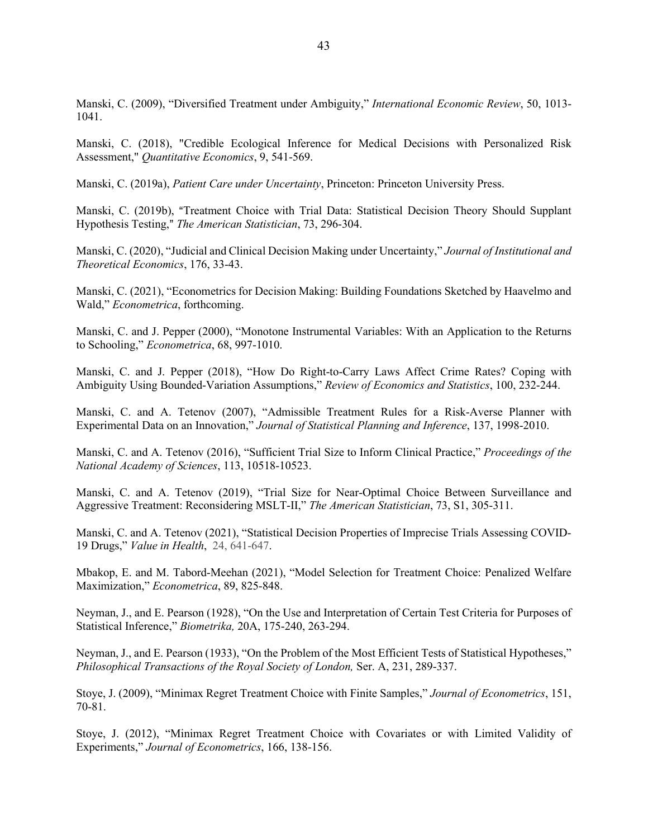Manski, C. (2009), "Diversified Treatment under Ambiguity," *International Economic Review*, 50, 1013- 1041.

Manski, C. (2018), "Credible Ecological Inference for Medical Decisions with Personalized Risk Assessment," *Quantitative Economics*, 9, 541-569.

Manski, C. (2019a), *Patient Care under Uncertainty*, Princeton: Princeton University Press.

Manski, C. (2019b), "Treatment Choice with Trial Data: Statistical Decision Theory Should Supplant Hypothesis Testing," The American Statistician, 73, 296-304.

Manski, C. (2020), "Judicial and Clinical Decision Making under Uncertainty," *Journal of Institutional and Theoretical Economics*, 176, 33-43.

Manski, C. (2021), "Econometrics for Decision Making: Building Foundations Sketched by Haavelmo and Wald," *Econometrica*, forthcoming.

Manski, C. and J. Pepper (2000), "Monotone Instrumental Variables: With an Application to the Returns to Schooling," *Econometrica*, 68, 997-1010.

Manski, C. and J. Pepper (2018), "How Do Right-to-Carry Laws Affect Crime Rates? Coping with Ambiguity Using Bounded-Variation Assumptions," *Review of Economics and Statistics*, 100, 232-244.

Manski, C. and A. Tetenov (2007), "Admissible Treatment Rules for a Risk-Averse Planner with Experimental Data on an Innovation," *Journal of Statistical Planning and Inference*, 137, 1998-2010.

Manski, C. and A. Tetenov (2016), "Sufficient Trial Size to Inform Clinical Practice," *Proceedings of the National Academy of Sciences*, 113, 10518-10523.

Manski, C. and A. Tetenov (2019), "Trial Size for Near-Optimal Choice Between Surveillance and Aggressive Treatment: Reconsidering MSLT-II," *The American Statistician*, 73, S1, 305-311.

Manski, C. and A. Tetenov (2021), "Statistical Decision Properties of Imprecise Trials Assessing COVID-19 Drugs," *Value in Health*, 24, 641-647.

Mbakop, E. and M. Tabord-Meehan (2021), "Model Selection for Treatment Choice: Penalized Welfare Maximization," *Econometrica*, 89, 825-848.

Neyman, J., and E. Pearson (1928), "On the Use and Interpretation of Certain Test Criteria for Purposes of Statistical Inference," *Biometrika,* 20A, 175-240, 263-294.

Neyman, J., and E. Pearson (1933), "On the Problem of the Most Efficient Tests of Statistical Hypotheses," *Philosophical Transactions of the Royal Society of London,* Ser. A, 231, 289-337.

Stoye, J. (2009), "Minimax Regret Treatment Choice with Finite Samples," *Journal of Econometrics*, 151, 70-81.

Stoye, J. (2012), "Minimax Regret Treatment Choice with Covariates or with Limited Validity of Experiments," *Journal of Econometrics*, 166, 138-156.